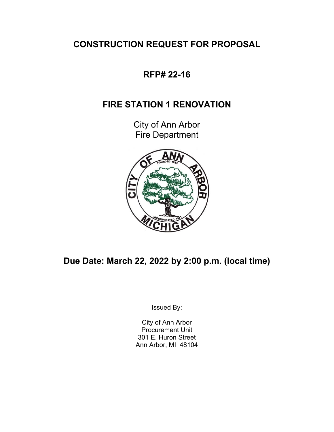# **CONSTRUCTION REQUEST FOR PROPOSAL**

# **RFP# 22-16**

# **FIRE STATION 1 RENOVATION**

City of Ann Arbor Fire Department



# **Due Date: March 22, 2022 by 2:00 p.m. (local time)**

Issued By:

City of Ann Arbor Procurement Unit 301 E. Huron Street Ann Arbor, MI 48104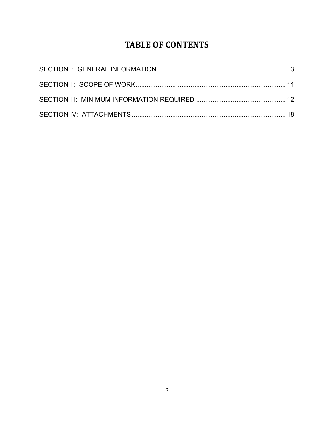# **TABLE OF CONTENTS**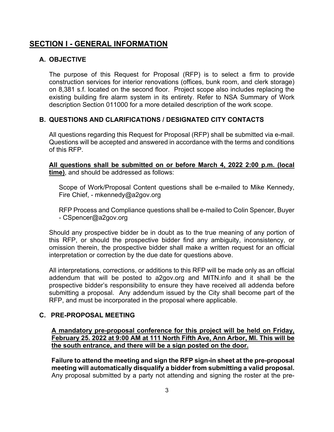## **SECTION I - GENERAL INFORMATION**

## **A. OBJECTIVE**

The purpose of this Request for Proposal (RFP) is to select a firm to provide construction services for interior renovations (offices, bunk room, and clerk storage) on 8,381 s.f. located on the second floor. Project scope also includes replacing the existing building fire alarm system in its entirety. Refer to NSA Summary of Work description Section 011000 for a more detailed description of the work scope.

## **B. QUESTIONS AND CLARIFICATIONS / DESIGNATED CITY CONTACTS**

All questions regarding this Request for Proposal (RFP) shall be submitted via e-mail. Questions will be accepted and answered in accordance with the terms and conditions of this RFP.

**All questions shall be submitted on or before March 4, 2022 2:00 p.m. (local time)**, and should be addressed as follows:

Scope of Work/Proposal Content questions shall be e-mailed to Mike Kennedy, Fire Chief, - mkennedy@a2gov.org

RFP Process and Compliance questions shall be e-mailed to Colin Spencer, Buyer - CSpencer@a2gov.org

Should any prospective bidder be in doubt as to the true meaning of any portion of this RFP, or should the prospective bidder find any ambiguity, inconsistency, or omission therein, the prospective bidder shall make a written request for an official interpretation or correction by the due date for questions above.

All interpretations, corrections, or additions to this RFP will be made only as an official addendum that will be posted to a2gov.org and MITN.info and it shall be the prospective bidder's responsibility to ensure they have received all addenda before submitting a proposal. Any addendum issued by the City shall become part of the RFP, and must be incorporated in the proposal where applicable.

## **C. PRE-PROPOSAL MEETING**

**A mandatory pre-proposal conference for this project will be held on Friday, February 25. 2022 at 9:00 AM at 111 North Fifth Ave, Ann Arbor, MI. This will be the south entrance, and there will be a sign posted on the door.** 

**Failure to attend the meeting and sign the RFP sign-in sheet at the pre-proposal meeting will automatically disqualify a bidder from submitting a valid proposal.**  Any proposal submitted by a party not attending and signing the roster at the pre-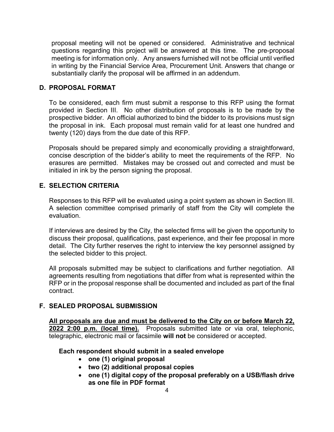proposal meeting will not be opened or considered. Administrative and technical questions regarding this project will be answered at this time. The pre-proposal meeting is for information only. Any answers furnished will not be official until verified in writing by the Financial Service Area, Procurement Unit. Answers that change or substantially clarify the proposal will be affirmed in an addendum.

#### **D. PROPOSAL FORMAT**

To be considered, each firm must submit a response to this RFP using the format provided in Section III. No other distribution of proposals is to be made by the prospective bidder. An official authorized to bind the bidder to its provisions must sign the proposal in ink. Each proposal must remain valid for at least one hundred and twenty (120) days from the due date of this RFP.

Proposals should be prepared simply and economically providing a straightforward, concise description of the bidder's ability to meet the requirements of the RFP. No erasures are permitted. Mistakes may be crossed out and corrected and must be initialed in ink by the person signing the proposal.

#### **E. SELECTION CRITERIA**

Responses to this RFP will be evaluated using a point system as shown in Section III. A selection committee comprised primarily of staff from the City will complete the evaluation.

If interviews are desired by the City, the selected firms will be given the opportunity to discuss their proposal, qualifications, past experience, and their fee proposal in more detail. The City further reserves the right to interview the key personnel assigned by the selected bidder to this project.

All proposals submitted may be subject to clarifications and further negotiation. All agreements resulting from negotiations that differ from what is represented within the RFP or in the proposal response shall be documented and included as part of the final contract.

#### **F. SEALED PROPOSAL SUBMISSION**

**All proposals are due and must be delivered to the City on or before March 22, 2022 2:00 p.m. (local time).** Proposals submitted late or via oral, telephonic, telegraphic, electronic mail or facsimile **will not** be considered or accepted.

#### **Each respondent should submit in a sealed envelope**

- **one (1) original proposal**
- **two (2) additional proposal copies**
- **one (1) digital copy of the proposal preferably on a USB/flash drive as one file in PDF format**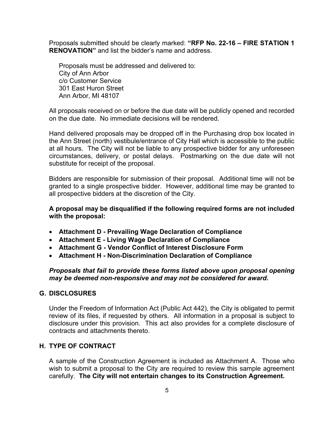Proposals submitted should be clearly marked: **"RFP No. 22-16 – FIRE STATION 1 RENOVATION"** and list the bidder's name and address.

Proposals must be addressed and delivered to: City of Ann Arbor c/o Customer Service 301 East Huron Street Ann Arbor, MI 48107

All proposals received on or before the due date will be publicly opened and recorded on the due date. No immediate decisions will be rendered.

Hand delivered proposals may be dropped off in the Purchasing drop box located in the Ann Street (north) vestibule/entrance of City Hall which is accessible to the public at all hours. The City will not be liable to any prospective bidder for any unforeseen circumstances, delivery, or postal delays. Postmarking on the due date will not substitute for receipt of the proposal.

Bidders are responsible for submission of their proposal. Additional time will not be granted to a single prospective bidder. However, additional time may be granted to all prospective bidders at the discretion of the City.

**A proposal may be disqualified if the following required forms are not included with the proposal:** 

- **Attachment D Prevailing Wage Declaration of Compliance**
- **Attachment E Living Wage Declaration of Compliance**
- **Attachment G Vendor Conflict of Interest Disclosure Form**
- **Attachment H Non-Discrimination Declaration of Compliance**

#### *Proposals that fail to provide these forms listed above upon proposal opening may be deemed non-responsive and may not be considered for award.*

#### **G. DISCLOSURES**

Under the Freedom of Information Act (Public Act 442), the City is obligated to permit review of its files, if requested by others. All information in a proposal is subject to disclosure under this provision. This act also provides for a complete disclosure of contracts and attachments thereto.

## **H. TYPE OF CONTRACT**

A sample of the Construction Agreement is included as Attachment A. Those who wish to submit a proposal to the City are required to review this sample agreement carefully. **The City will not entertain changes to its Construction Agreement.**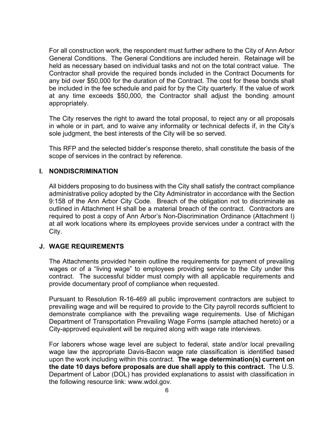For all construction work, the respondent must further adhere to the City of Ann Arbor General Conditions. The General Conditions are included herein. Retainage will be held as necessary based on individual tasks and not on the total contract value. The Contractor shall provide the required bonds included in the Contract Documents for any bid over \$50,000 for the duration of the Contract. The cost for these bonds shall be included in the fee schedule and paid for by the City quarterly. If the value of work at any time exceeds \$50,000, the Contractor shall adjust the bonding amount appropriately.

The City reserves the right to award the total proposal, to reject any or all proposals in whole or in part, and to waive any informality or technical defects if, in the City's sole judgment, the best interests of the City will be so served.

This RFP and the selected bidder's response thereto, shall constitute the basis of the scope of services in the contract by reference.

#### **I. NONDISCRIMINATION**

All bidders proposing to do business with the City shall satisfy the contract compliance administrative policy adopted by the City Administrator in accordance with the Section 9:158 of the Ann Arbor City Code. Breach of the obligation not to discriminate as outlined in Attachment H shall be a material breach of the contract. Contractors are required to post a copy of Ann Arbor's Non-Discrimination Ordinance (Attachment I) at all work locations where its employees provide services under a contract with the City.

#### **J. WAGE REQUIREMENTS**

The Attachments provided herein outline the requirements for payment of prevailing wages or of a "living wage" to employees providing service to the City under this contract. The successful bidder must comply with all applicable requirements and provide documentary proof of compliance when requested.

Pursuant to Resolution R-16-469 all public improvement contractors are subject to prevailing wage and will be required to provide to the City payroll records sufficient to demonstrate compliance with the prevailing wage requirements. Use of Michigan Department of Transportation Prevailing Wage Forms (sample attached hereto) or a City-approved equivalent will be required along with wage rate interviews.

For laborers whose wage level are subject to federal, state and/or local prevailing wage law the appropriate Davis-Bacon wage rate classification is identified based upon the work including within this contract. **The wage determination(s) current on the date 10 days before proposals are due shall apply to this contract.** The U.S. Department of Labor (DOL) has provided explanations to assist with classification in the following resource link: www.wdol.gov.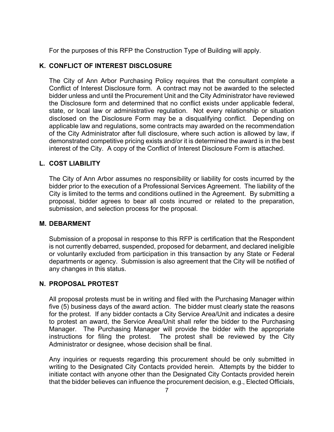For the purposes of this RFP the Construction Type of Building will apply.

#### **K. CONFLICT OF INTEREST DISCLOSURE**

The City of Ann Arbor Purchasing Policy requires that the consultant complete a Conflict of Interest Disclosure form. A contract may not be awarded to the selected bidder unless and until the Procurement Unit and the City Administrator have reviewed the Disclosure form and determined that no conflict exists under applicable federal, state, or local law or administrative regulation. Not every relationship or situation disclosed on the Disclosure Form may be a disqualifying conflict. Depending on applicable law and regulations, some contracts may awarded on the recommendation of the City Administrator after full disclosure, where such action is allowed by law, if demonstrated competitive pricing exists and/or it is determined the award is in the best interest of the City. A copy of the Conflict of Interest Disclosure Form is attached.

#### **L. COST LIABILITY**

The City of Ann Arbor assumes no responsibility or liability for costs incurred by the bidder prior to the execution of a Professional Services Agreement. The liability of the City is limited to the terms and conditions outlined in the Agreement. By submitting a proposal, bidder agrees to bear all costs incurred or related to the preparation, submission, and selection process for the proposal.

#### **M. DEBARMENT**

Submission of a proposal in response to this RFP is certification that the Respondent is not currently debarred, suspended, proposed for debarment, and declared ineligible or voluntarily excluded from participation in this transaction by any State or Federal departments or agency. Submission is also agreement that the City will be notified of any changes in this status.

#### **N. PROPOSAL PROTEST**

All proposal protests must be in writing and filed with the Purchasing Manager within five (5) business days of the award action. The bidder must clearly state the reasons for the protest. If any bidder contacts a City Service Area/Unit and indicates a desire to protest an award, the Service Area/Unit shall refer the bidder to the Purchasing Manager. The Purchasing Manager will provide the bidder with the appropriate instructions for filing the protest. The protest shall be reviewed by the City Administrator or designee, whose decision shall be final.

Any inquiries or requests regarding this procurement should be only submitted in writing to the Designated City Contacts provided herein. Attempts by the bidder to initiate contact with anyone other than the Designated City Contacts provided herein that the bidder believes can influence the procurement decision, e.g., Elected Officials,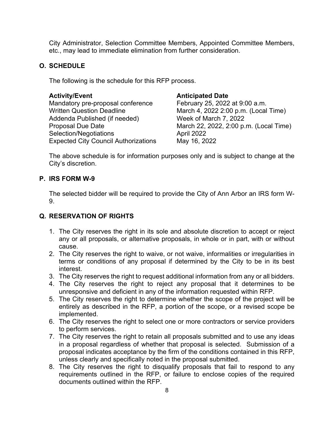City Administrator, Selection Committee Members, Appointed Committee Members, etc., may lead to immediate elimination from further consideration.

#### **O. SCHEDULE**

The following is the schedule for this RFP process.

| <b>Activity/Event</b>                       | <b>Anticipated Date</b>                |
|---------------------------------------------|----------------------------------------|
| Mandatory pre-proposal conference           | February 25, 2022 at 9:00 a.m.         |
| <b>Written Question Deadline</b>            | March 4, 2022 2:00 p.m. (Local Time)   |
| Addenda Published (if needed)               | Week of March 7, 2022                  |
| <b>Proposal Due Date</b>                    | March 22, 2022, 2:00 p.m. (Local Time) |
| Selection/Negotiations                      | April 2022                             |
| <b>Expected City Council Authorizations</b> | May 16, 2022                           |

The above schedule is for information purposes only and is subject to change at the City's discretion.

#### **P. IRS FORM W-9**

The selected bidder will be required to provide the City of Ann Arbor an IRS form W-9.

#### **Q. RESERVATION OF RIGHTS**

- 1. The City reserves the right in its sole and absolute discretion to accept or reject any or all proposals, or alternative proposals, in whole or in part, with or without cause.
- 2. The City reserves the right to waive, or not waive, informalities or irregularities in terms or conditions of any proposal if determined by the City to be in its best interest.
- 3. The City reserves the right to request additional information from any or all bidders.
- 4. The City reserves the right to reject any proposal that it determines to be unresponsive and deficient in any of the information requested within RFP.
- 5. The City reserves the right to determine whether the scope of the project will be entirely as described in the RFP, a portion of the scope, or a revised scope be implemented.
- 6. The City reserves the right to select one or more contractors or service providers to perform services.
- 7. The City reserves the right to retain all proposals submitted and to use any ideas in a proposal regardless of whether that proposal is selected. Submission of a proposal indicates acceptance by the firm of the conditions contained in this RFP, unless clearly and specifically noted in the proposal submitted.
- 8. The City reserves the right to disqualify proposals that fail to respond to any requirements outlined in the RFP, or failure to enclose copies of the required documents outlined within the RFP.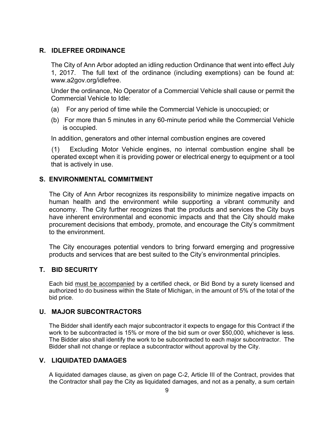#### **R. IDLEFREE ORDINANCE**

The City of Ann Arbor adopted an idling reduction Ordinance that went into effect July 1, 2017. The full text of the ordinance (including exemptions) can be found at: www.a2gov.org/idlefree.

Under the ordinance, No Operator of a Commercial Vehicle shall cause or permit the Commercial Vehicle to Idle:

- (a) For any period of time while the Commercial Vehicle is unoccupied; or
- (b) For more than 5 minutes in any 60-minute period while the Commercial Vehicle is occupied.

In addition, generators and other internal combustion engines are covered

 (1) Excluding Motor Vehicle engines, no internal combustion engine shall be operated except when it is providing power or electrical energy to equipment or a tool that is actively in use.

#### **S. ENVIRONMENTAL COMMITMENT**

The City of Ann Arbor recognizes its responsibility to minimize negative impacts on human health and the environment while supporting a vibrant community and economy. The City further recognizes that the products and services the City buys have inherent environmental and economic impacts and that the City should make procurement decisions that embody, promote, and encourage the City's commitment to the environment.

The City encourages potential vendors to bring forward emerging and progressive products and services that are best suited to the City's environmental principles.

#### **T. BID SECURITY**

Each bid must be accompanied by a certified check, or Bid Bond by a surety licensed and authorized to do business within the State of Michigan, in the amount of 5% of the total of the bid price.

#### **U. MAJOR SUBCONTRACTORS**

The Bidder shall identify each major subcontractor it expects to engage for this Contract if the work to be subcontracted is 15% or more of the bid sum or over \$50,000, whichever is less. The Bidder also shall identify the work to be subcontracted to each major subcontractor. The Bidder shall not change or replace a subcontractor without approval by the City.

#### **V. LIQUIDATED DAMAGES**

A liquidated damages clause, as given on page C-2, Article III of the Contract, provides that the Contractor shall pay the City as liquidated damages, and not as a penalty, a sum certain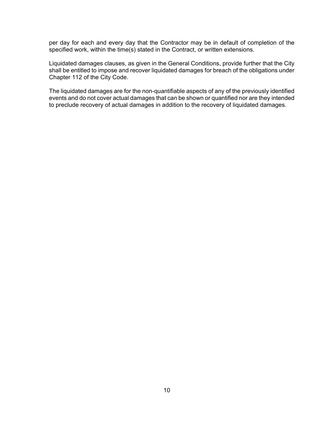per day for each and every day that the Contractor may be in default of completion of the specified work, within the time(s) stated in the Contract, or written extensions.

Liquidated damages clauses, as given in the General Conditions, provide further that the City shall be entitled to impose and recover liquidated damages for breach of the obligations under Chapter 112 of the City Code.

The liquidated damages are for the non-quantifiable aspects of any of the previously identified events and do not cover actual damages that can be shown or quantified nor are they intended to preclude recovery of actual damages in addition to the recovery of liquidated damages.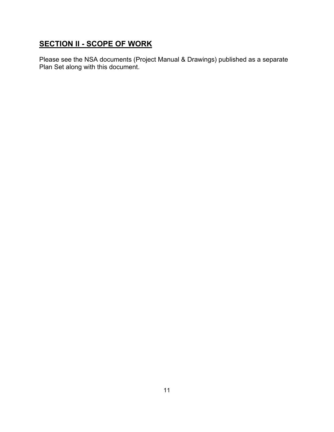## **SECTION II - SCOPE OF WORK**

Please see the NSA documents (Project Manual & Drawings) published as a separate Plan Set along with this document.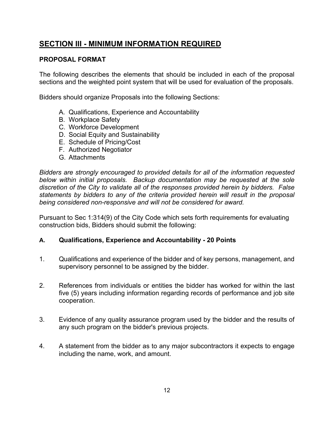## **SECTION III - MINIMUM INFORMATION REQUIRED**

#### **PROPOSAL FORMAT**

The following describes the elements that should be included in each of the proposal sections and the weighted point system that will be used for evaluation of the proposals.

Bidders should organize Proposals into the following Sections:

- A. Qualifications, Experience and Accountability
- B. Workplace Safety
- C. Workforce Development
- D. Social Equity and Sustainability
- E. Schedule of Pricing/Cost
- F. Authorized Negotiator
- G. Attachments

*Bidders are strongly encouraged to provided details for all of the information requested below within initial proposals. Backup documentation may be requested at the sole discretion of the City to validate all of the responses provided herein by bidders. False statements by bidders to any of the criteria provided herein will result in the proposal being considered non-responsive and will not be considered for award.* 

Pursuant to Sec 1:314(9) of the City Code which sets forth requirements for evaluating construction bids, Bidders should submit the following:

#### **A. Qualifications, Experience and Accountability - 20 Points**

- 1. Qualifications and experience of the bidder and of key persons, management, and supervisory personnel to be assigned by the bidder.
- 2. References from individuals or entities the bidder has worked for within the last five (5) years including information regarding records of performance and job site cooperation.
- 3. Evidence of any quality assurance program used by the bidder and the results of any such program on the bidder's previous projects.
- 4. A statement from the bidder as to any major subcontractors it expects to engage including the name, work, and amount.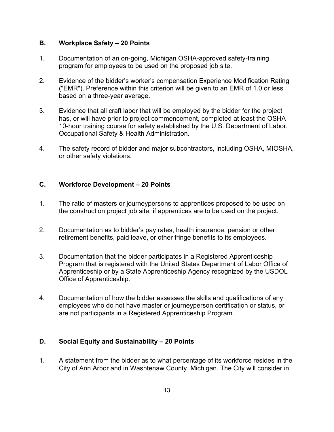#### **B. Workplace Safety – 20 Points**

- 1. Documentation of an on-going, Michigan OSHA-approved safety-training program for employees to be used on the proposed job site.
- 2. Evidence of the bidder's worker's compensation Experience Modification Rating ("EMR"). Preference within this criterion will be given to an EMR of 1.0 or less based on a three-year average.
- 3. Evidence that all craft labor that will be employed by the bidder for the project has, or will have prior to project commencement, completed at least the OSHA 10-hour training course for safety established by the U.S. Department of Labor, Occupational Safety & Health Administration.
- 4. The safety record of bidder and major subcontractors, including OSHA, MIOSHA, or other safety violations.

#### **C. Workforce Development – 20 Points**

- 1. The ratio of masters or journeypersons to apprentices proposed to be used on the construction project job site, if apprentices are to be used on the project.
- 2. Documentation as to bidder's pay rates, health insurance, pension or other retirement benefits, paid leave, or other fringe benefits to its employees.
- 3. Documentation that the bidder participates in a Registered Apprenticeship Program that is registered with the United States Department of Labor Office of Apprenticeship or by a State Apprenticeship Agency recognized by the USDOL Office of Apprenticeship.
- 4. Documentation of how the bidder assesses the skills and qualifications of any employees who do not have master or journeyperson certification or status, or are not participants in a Registered Apprenticeship Program.

#### **D. Social Equity and Sustainability – 20 Points**

1. A statement from the bidder as to what percentage of its workforce resides in the City of Ann Arbor and in Washtenaw County, Michigan. The City will consider in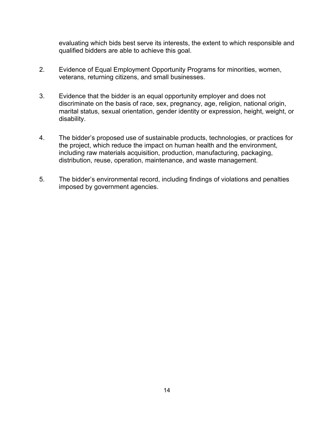evaluating which bids best serve its interests, the extent to which responsible and qualified bidders are able to achieve this goal.

- 2. Evidence of Equal Employment Opportunity Programs for minorities, women, veterans, returning citizens, and small businesses.
- 3. Evidence that the bidder is an equal opportunity employer and does not discriminate on the basis of race, sex, pregnancy, age, religion, national origin, marital status, sexual orientation, gender identity or expression, height, weight, or disability.
- 4. The bidder's proposed use of sustainable products, technologies, or practices for the project, which reduce the impact on human health and the environment, including raw materials acquisition, production, manufacturing, packaging, distribution, reuse, operation, maintenance, and waste management.
- 5. The bidder's environmental record, including findings of violations and penalties imposed by government agencies.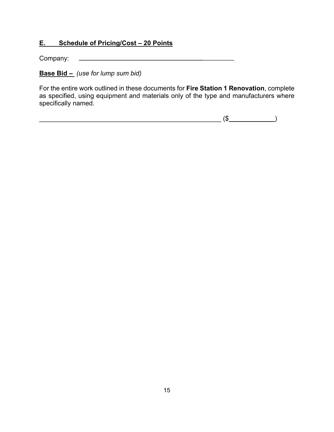## **E. Schedule of Pricing/Cost – 20 Points**

Company:

**Base Bid –** *(use for lump sum bid)* 

For the entire work outlined in these documents for **Fire Station 1 Renovation**, complete as specified, using equipment and materials only of the type and manufacturers where specifically named.

\_\_\_\_\_\_\_\_\_\_\_\_\_\_\_\_\_\_\_\_\_\_\_\_\_\_\_\_\_\_\_\_\_\_\_\_\_\_\_\_\_\_\_\_\_\_\_\_\_\_ (\$ )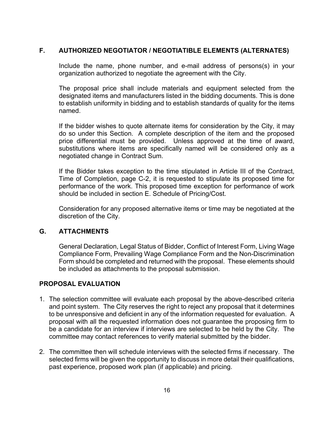#### **F. AUTHORIZED NEGOTIATOR / NEGOTIATIBLE ELEMENTS (ALTERNATES)**

Include the name, phone number, and e-mail address of persons(s) in your organization authorized to negotiate the agreement with the City.

The proposal price shall include materials and equipment selected from the designated items and manufacturers listed in the bidding documents. This is done to establish uniformity in bidding and to establish standards of quality for the items named.

If the bidder wishes to quote alternate items for consideration by the City, it may do so under this Section. A complete description of the item and the proposed price differential must be provided. Unless approved at the time of award, substitutions where items are specifically named will be considered only as a negotiated change in Contract Sum.

If the Bidder takes exception to the time stipulated in Article III of the Contract, Time of Completion, page C-2, it is requested to stipulate its proposed time for performance of the work. This proposed time exception for performance of work should be included in section E. Schedule of Pricing/Cost.

Consideration for any proposed alternative items or time may be negotiated at the discretion of the City.

#### **G. ATTACHMENTS**

General Declaration, Legal Status of Bidder, Conflict of Interest Form, Living Wage Compliance Form, Prevailing Wage Compliance Form and the Non-Discrimination Form should be completed and returned with the proposal. These elements should be included as attachments to the proposal submission.

#### **PROPOSAL EVALUATION**

- 1. The selection committee will evaluate each proposal by the above-described criteria and point system. The City reserves the right to reject any proposal that it determines to be unresponsive and deficient in any of the information requested for evaluation. A proposal with all the requested information does not guarantee the proposing firm to be a candidate for an interview if interviews are selected to be held by the City. The committee may contact references to verify material submitted by the bidder.
- 2. The committee then will schedule interviews with the selected firms if necessary. The selected firms will be given the opportunity to discuss in more detail their qualifications, past experience, proposed work plan (if applicable) and pricing.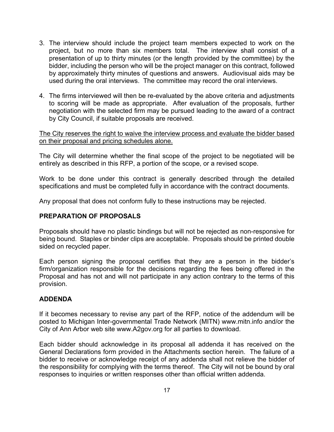- 3. The interview should include the project team members expected to work on the project, but no more than six members total. The interview shall consist of a presentation of up to thirty minutes (or the length provided by the committee) by the bidder, including the person who will be the project manager on this contract, followed by approximately thirty minutes of questions and answers. Audiovisual aids may be used during the oral interviews. The committee may record the oral interviews.
- 4. The firms interviewed will then be re-evaluated by the above criteria and adjustments to scoring will be made as appropriate. After evaluation of the proposals, further negotiation with the selected firm may be pursued leading to the award of a contract by City Council, if suitable proposals are received.

#### The City reserves the right to waive the interview process and evaluate the bidder based on their proposal and pricing schedules alone.

The City will determine whether the final scope of the project to be negotiated will be entirely as described in this RFP, a portion of the scope, or a revised scope.

Work to be done under this contract is generally described through the detailed specifications and must be completed fully in accordance with the contract documents.

Any proposal that does not conform fully to these instructions may be rejected.

### **PREPARATION OF PROPOSALS**

Proposals should have no plastic bindings but will not be rejected as non-responsive for being bound. Staples or binder clips are acceptable. Proposals should be printed double sided on recycled paper.

Each person signing the proposal certifies that they are a person in the bidder's firm/organization responsible for the decisions regarding the fees being offered in the Proposal and has not and will not participate in any action contrary to the terms of this provision.

#### **ADDENDA**

If it becomes necessary to revise any part of the RFP, notice of the addendum will be posted to Michigan Inter-governmental Trade Network (MITN) www.mitn.info and/or the City of Ann Arbor web site www.A2gov.org for all parties to download.

Each bidder should acknowledge in its proposal all addenda it has received on the General Declarations form provided in the Attachments section herein. The failure of a bidder to receive or acknowledge receipt of any addenda shall not relieve the bidder of the responsibility for complying with the terms thereof. The City will not be bound by oral responses to inquiries or written responses other than official written addenda.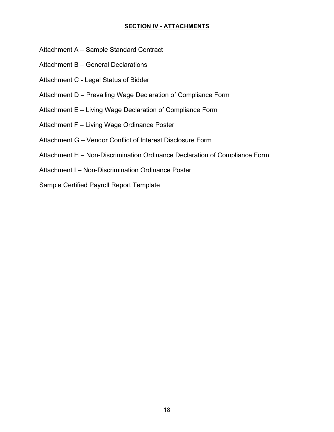#### **SECTION IV - ATTACHMENTS**

- Attachment A Sample Standard Contract
- Attachment B General Declarations
- Attachment C Legal Status of Bidder
- Attachment D Prevailing Wage Declaration of Compliance Form
- Attachment E Living Wage Declaration of Compliance Form
- Attachment F Living Wage Ordinance Poster
- Attachment G Vendor Conflict of Interest Disclosure Form
- Attachment H Non-Discrimination Ordinance Declaration of Compliance Form
- Attachment I Non-Discrimination Ordinance Poster
- Sample Certified Payroll Report Template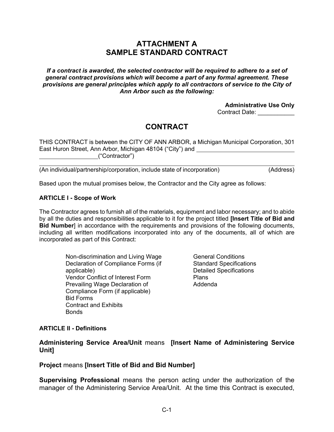## **ATTACHMENT A SAMPLE STANDARD CONTRACT**

*If a contract is awarded, the selected contractor will be required to adhere to a set of general contract provisions which will become a part of any formal agreement. These provisions are general principles which apply to all contractors of service to the City of Ann Arbor such as the following:* 

> **Administrative Use Only**  Contract Date: \_\_\_\_\_\_\_\_\_\_\_

## **CONTRACT**

THIS CONTRACT is between the CITY OF ANN ARBOR, a Michigan Municipal Corporation, 301 East Huron Street, Ann Arbor, Michigan 48104 ("City") and ("Contractor")

 $\overline{a}$ (An individual/partnership/corporation, include state of incorporation) (Address)

Based upon the mutual promises below, the Contractor and the City agree as follows:

#### **ARTICLE I - Scope of Work**

The Contractor agrees to furnish all of the materials, equipment and labor necessary; and to abide by all the duties and responsibilities applicable to it for the project titled **[Insert Title of Bid and Bid Number**] in accordance with the requirements and provisions of the following documents, including all written modifications incorporated into any of the documents, all of which are incorporated as part of this Contract:

> Non-discrimination and Living Wage Declaration of Compliance Forms (if applicable) Vendor Conflict of Interest Form Prevailing Wage Declaration of Compliance Form (if applicable) Bid Forms Contract and Exhibits Bonds

General Conditions Standard Specifications Detailed Specifications Plans Addenda

#### **ARTICLE II - Definitions**

**Administering Service Area/Unit** means **[Insert Name of Administering Service Unit]** 

#### **Project** means **[Insert Title of Bid and Bid Number]**

**Supervising Professional** means the person acting under the authorization of the manager of the Administering Service Area/Unit. At the time this Contract is executed,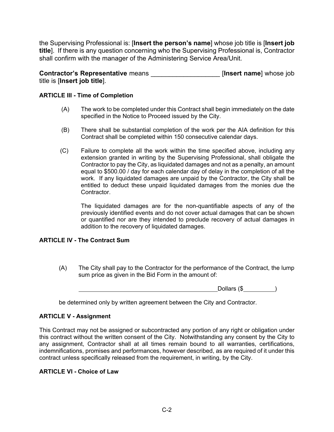the Supervising Professional is: [**Insert the person's name**] whose job title is [**Insert job title**]. If there is any question concerning who the Supervising Professional is, Contractor shall confirm with the manager of the Administering Service Area/Unit.

**Contractor's Representative** means \_\_\_\_\_\_\_\_\_\_\_\_\_\_\_\_\_\_\_ [**Insert name**] whose job title is [**Insert job title**].

#### **ARTICLE III - Time of Completion**

- (A) The work to be completed under this Contract shall begin immediately on the date specified in the Notice to Proceed issued by the City.
- (B) There shall be substantial completion of the work per the AIA definition for this Contract shall be completed within 150 consecutive calendar days.
- (C) Failure to complete all the work within the time specified above, including any extension granted in writing by the Supervising Professional, shall obligate the Contractor to pay the City, as liquidated damages and not as a penalty, an amount equal to \$500.00 / day for each calendar day of delay in the completion of all the work. If any liquidated damages are unpaid by the Contractor, the City shall be entitled to deduct these unpaid liquidated damages from the monies due the Contractor.

The liquidated damages are for the non-quantifiable aspects of any of the previously identified events and do not cover actual damages that can be shown or quantified nor are they intended to preclude recovery of actual damages in addition to the recovery of liquidated damages.

#### **ARTICLE IV - The Contract Sum**

(A) The City shall pay to the Contractor for the performance of the Contract, the lump sum price as given in the Bid Form in the amount of:

\_\_\_\_\_\_\_\_\_\_\_\_\_\_Dollars (\$\_\_\_\_\_\_\_\_\_\_\_)

|  | be determined only by written agreement between the City and Contractor. |  |  |
|--|--------------------------------------------------------------------------|--|--|
|--|--------------------------------------------------------------------------|--|--|

#### **ARTICLE V - Assignment**

This Contract may not be assigned or subcontracted any portion of any right or obligation under this contract without the written consent of the City. Notwithstanding any consent by the City to any assignment, Contractor shall at all times remain bound to all warranties, certifications, indemnifications, promises and performances, however described, as are required of it under this contract unless specifically released from the requirement, in writing, by the City.

#### **ARTICLE VI - Choice of Law**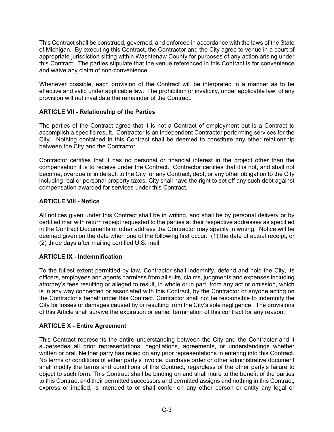This Contract shall be construed, governed, and enforced in accordance with the laws of the State of Michigan. By executing this Contract, the Contractor and the City agree to venue in a court of appropriate jurisdiction sitting within Washtenaw County for purposes of any action arising under this Contract. The parties stipulate that the venue referenced in this Contract is for convenience and waive any claim of non-convenience.

Whenever possible, each provision of the Contract will be interpreted in a manner as to be effective and valid under applicable law. The prohibition or invalidity, under applicable law, of any provision will not invalidate the remainder of the Contract.

#### **ARTICLE VII - Relationship of the Parties**

The parties of the Contract agree that it is not a Contract of employment but is a Contract to accomplish a specific result. Contractor is an independent Contractor performing services for the City. Nothing contained in this Contract shall be deemed to constitute any other relationship between the City and the Contractor.

Contractor certifies that it has no personal or financial interest in the project other than the compensation it is to receive under the Contract. Contractor certifies that it is not, and shall not become, overdue or in default to the City for any Contract, debt, or any other obligation to the City including real or personal property taxes. City shall have the right to set off any such debt against compensation awarded for services under this Contract.

#### **ARTICLE VIII - Notice**

All notices given under this Contract shall be in writing, and shall be by personal delivery or by certified mail with return receipt requested to the parties at their respective addresses as specified in the Contract Documents or other address the Contractor may specify in writing. Notice will be deemed given on the date when one of the following first occur: (1) the date of actual receipt; or (2) three days after mailing certified U.S. mail.

#### **ARTICLE IX - Indemnification**

To the fullest extent permitted by law, Contractor shall indemnify, defend and hold the City, its officers, employees and agents harmless from all suits, claims, judgments and expenses including attorney's fees resulting or alleged to result, in whole or in part, from any act or omission, which is in any way connected or associated with this Contract, by the Contractor or anyone acting on the Contractor's behalf under this Contract. Contractor shall not be responsible to indemnify the City for losses or damages caused by or resulting from the City's sole negligence. The provisions of this Article shall survive the expiration or earlier termination of this contract for any reason.

#### **ARTICLE X - Entire Agreement**

This Contract represents the entire understanding between the City and the Contractor and it supersedes all prior representations, negotiations, agreements, or understandings whether written or oral. Neither party has relied on any prior representations in entering into this Contract. No terms or conditions of either party's invoice, purchase order or other administrative document shall modify the terms and conditions of this Contract, regardless of the other party's failure to object to such form. This Contract shall be binding on and shall inure to the benefit of the parties to this Contract and their permitted successors and permitted assigns and nothing in this Contract, express or implied, is intended to or shall confer on any other person or entity any legal or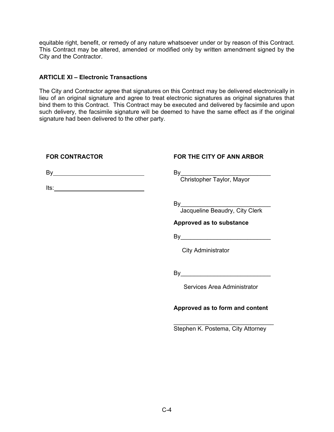equitable right, benefit, or remedy of any nature whatsoever under or by reason of this Contract. This Contract may be altered, amended or modified only by written amendment signed by the City and the Contractor.

#### **ARTICLE XI – Electronic Transactions**

By the contract of the contract of the contract of the contract of the contract of the contract of the contract of the contract of the contract of the contract of the contract of the contract of the contract of the contrac

Its:

The City and Contractor agree that signatures on this Contract may be delivered electronically in lieu of an original signature and agree to treat electronic signatures as original signatures that bind them to this Contract. This Contract may be executed and delivered by facsimile and upon such delivery, the facsimile signature will be deemed to have the same effect as if the original signature had been delivered to the other party.

#### **FOR CONTRACTOR FOR THE CITY OF ANN ARBOR**

 $\mathsf{By} \hspace{2em} \rule{2.5em}{0.4em}$ 

Christopher Taylor, Mayor

 $\mathsf{By}$ 

Jacqueline Beaudry, City Clerk

#### **Approved as to substance**

 $\mathsf{By}$ 

City Administrator

 $\mathsf{By}$ 

Services Area Administrator

#### **Approved as to form and content**

Stephen K. Postema, City Attorney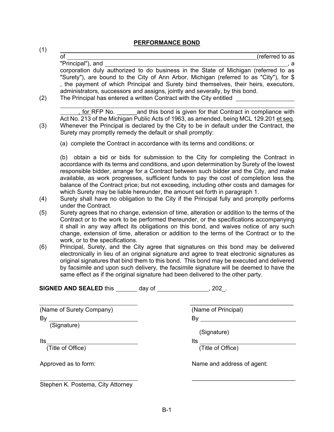## **PERFORMANCE BOND**

| (1) |                                                                                                                                                                                                                                     |        |                                                                                                                                                                                                                                                                                                                                                                                                                                                                                                                                                                                                                                        |
|-----|-------------------------------------------------------------------------------------------------------------------------------------------------------------------------------------------------------------------------------------|--------|----------------------------------------------------------------------------------------------------------------------------------------------------------------------------------------------------------------------------------------------------------------------------------------------------------------------------------------------------------------------------------------------------------------------------------------------------------------------------------------------------------------------------------------------------------------------------------------------------------------------------------------|
|     | of                                                                                                                                                                                                                                  |        | (referred to as                                                                                                                                                                                                                                                                                                                                                                                                                                                                                                                                                                                                                        |
| (2) | "Principal"), and<br>The Principal has entered a written Contract with the City entitled                                                                                                                                            |        | , а<br>corporation duly authorized to do business in the State of Michigan (referred to as<br>"Surety"), are bound to the City of Ann Arbor, Michigan (referred to as "City"), for \$<br>, the payment of which Principal and Surety bind themselves, their heirs, executors,<br>administrators, successors and assigns, jointly and severally, by this bond.                                                                                                                                                                                                                                                                          |
| (3) | Surety may promptly remedy the default or shall promptly:                                                                                                                                                                           |        | for RFP No. and this bond is given for that Contract in compliance with<br>Act No. 213 of the Michigan Public Acts of 1963, as amended, being MCL 129.201 et seq.<br>Whenever the Principal is declared by the City to be in default under the Contract, the                                                                                                                                                                                                                                                                                                                                                                           |
|     |                                                                                                                                                                                                                                     |        | (a) complete the Contract in accordance with its terms and conditions; or                                                                                                                                                                                                                                                                                                                                                                                                                                                                                                                                                              |
| (4) |                                                                                                                                                                                                                                     |        | (b) obtain a bid or bids for submission to the City for completing the Contract in<br>accordance with its terms and conditions, and upon determination by Surety of the lowest<br>responsible bidder, arrange for a Contract between such bidder and the City, and make<br>available, as work progresses, sufficient funds to pay the cost of completion less the<br>balance of the Contract price; but not exceeding, including other costs and damages for<br>which Surety may be liable hereunder, the amount set forth in paragraph 1.<br>Surety shall have no obligation to the City if the Principal fully and promptly performs |
|     | under the Contract.                                                                                                                                                                                                                 |        |                                                                                                                                                                                                                                                                                                                                                                                                                                                                                                                                                                                                                                        |
| (5) | work, or to the specifications.                                                                                                                                                                                                     |        | Surety agrees that no change, extension of time, alteration or addition to the terms of the<br>Contract or to the work to be performed thereunder, or the specifications accompanying<br>it shall in any way affect its obligations on this bond, and waives notice of any such<br>change, extension of time, alteration or addition to the terms of the Contract or to the                                                                                                                                                                                                                                                            |
| (6) |                                                                                                                                                                                                                                     |        | Principal, Surety, and the City agree that signatures on this bond may be delivered<br>electronically in lieu of an original signature and agree to treat electronic signatures as<br>original signatures that bind them to this bond. This bond may be executed and delivered<br>by facsimile and upon such delivery, the facsimile signature will be deemed to have the<br>same effect as if the original signature had been delivered to the other party.                                                                                                                                                                           |
|     | <b>SIGNED AND SEALED this</b>                                                                                                                                                                                                       | day of | $\overline{\phantom{1}}$ , 202 $\overline{\phantom{1}}$ .                                                                                                                                                                                                                                                                                                                                                                                                                                                                                                                                                                              |
|     |                                                                                                                                                                                                                                     |        |                                                                                                                                                                                                                                                                                                                                                                                                                                                                                                                                                                                                                                        |
|     | (Name of Surety Company)                                                                                                                                                                                                            |        | (Name of Principal)                                                                                                                                                                                                                                                                                                                                                                                                                                                                                                                                                                                                                    |
|     | (Signature)                                                                                                                                                                                                                         |        | $\mathsf{By} \_\_\_\_\_\$                                                                                                                                                                                                                                                                                                                                                                                                                                                                                                                                                                                                              |
|     |                                                                                                                                                                                                                                     |        | (Signature)                                                                                                                                                                                                                                                                                                                                                                                                                                                                                                                                                                                                                            |
|     | <b>Its</b> the contract of the contract of the contract of the contract of the contract of the contract of the contract of the contract of the contract of the contract of the contract of the contract of the contract of the cont |        | $Its \_\_$                                                                                                                                                                                                                                                                                                                                                                                                                                                                                                                                                                                                                             |
|     | (Title of Office)                                                                                                                                                                                                                   |        | (Title of Office)                                                                                                                                                                                                                                                                                                                                                                                                                                                                                                                                                                                                                      |
|     | Approved as to form:                                                                                                                                                                                                                |        | Name and address of agent:                                                                                                                                                                                                                                                                                                                                                                                                                                                                                                                                                                                                             |
|     | Stephen K. Postema, City Attorney                                                                                                                                                                                                   |        |                                                                                                                                                                                                                                                                                                                                                                                                                                                                                                                                                                                                                                        |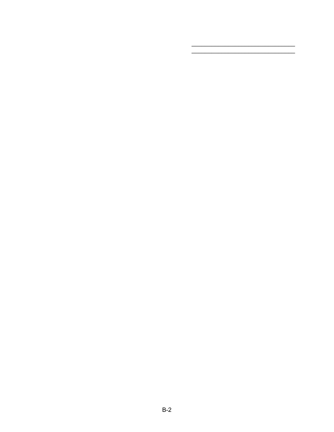$B-2$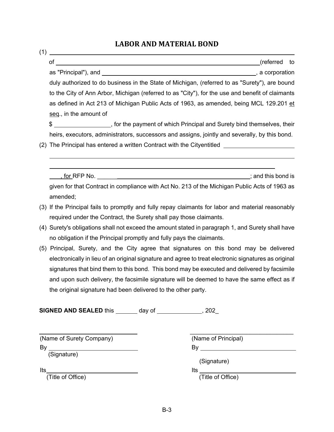# **LABOR AND MATERIAL BOND**

| (1) | <u> 1980 - Johann Barn, fransk politik fotograf (d. 1980)</u>                                                 |
|-----|---------------------------------------------------------------------------------------------------------------|
|     |                                                                                                               |
|     |                                                                                                               |
|     | duly authorized to do business in the State of Michigan, (referred to as "Surety"), are bound                 |
|     | to the City of Ann Arbor, Michigan (referred to as "City"), for the use and benefit of claimants              |
|     | as defined in Act 213 of Michigan Public Acts of 1963, as amended, being MCL 129.201 et                       |
|     | seq., in the amount of                                                                                        |
|     | \$ ____________________, for the payment of which Principal and Surety bind themselves, their                 |
|     | heirs, executors, administrators, successors and assigns, jointly and severally, by this bond.                |
| (2) | The Principal has entered a written Contract with the Cityentitled ______________                             |
|     |                                                                                                               |
|     |                                                                                                               |
|     |                                                                                                               |
|     | given for that Contract in compliance with Act No. 213 of the Michigan Public Acts of 1963 as                 |
|     | amended;                                                                                                      |
|     | (3) If the Principal fails to promptly and fully repay claimants for labor and material reasonably            |
|     | required under the Contract, the Surety shall pay those claimants.                                            |
|     | (4) Surety's obligations shall not exceed the amount stated in paragraph 1, and Surety shall have             |
|     | no obligation if the Principal promptly and fully pays the claimants.                                         |
|     | (5) Principal, Surety, and the City agree that signatures on this bond may be delivered                       |
|     | electronically in lieu of an original signature and agree to treat electronic signatures as original          |
|     | signatures that bind them to this bond. This bond may be executed and delivered by facsimile                  |
|     | and upon such delivery, the facsimile signature will be deemed to have the same effect as if                  |
|     | the original signature had been delivered to the other party.                                                 |
|     |                                                                                                               |
|     | SIGNED AND SEALED this _______ day of ______________, 202_                                                    |
|     |                                                                                                               |
|     |                                                                                                               |
|     | (Name of Surety Company)<br>(Name of Principal)                                                               |
|     | $\mathsf{By} \_\_\_\_\_\_\$                                                                                   |
|     | (Signature)                                                                                                   |
| Its | lts in the set of the set of the set of the set of the set of the set of the set of the set of the set of the |

(Title of Office)

(Title of Office)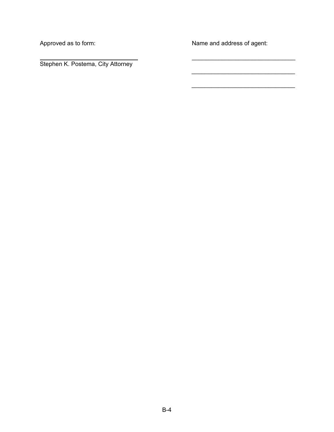Approved as to form:

Name and address of agent:

 $\mathcal{L}=\frac{1}{2}$  , where  $\mathcal{L}=\frac{1}{2}$  , where  $\mathcal{L}=\frac{1}{2}$ 

 $\mathcal{L}_\text{max}$  and  $\mathcal{L}_\text{max}$  and  $\mathcal{L}_\text{max}$  and  $\mathcal{L}_\text{max}$ 

 $\overline{a}$ Stephen K. Postema, City Attorney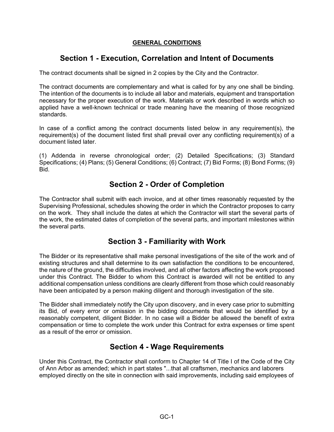#### **GENERAL CONDITIONS**

## **Section 1 - Execution, Correlation and Intent of Documents**

The contract documents shall be signed in 2 copies by the City and the Contractor.

The contract documents are complementary and what is called for by any one shall be binding. The intention of the documents is to include all labor and materials, equipment and transportation necessary for the proper execution of the work. Materials or work described in words which so applied have a well-known technical or trade meaning have the meaning of those recognized standards.

In case of a conflict among the contract documents listed below in any requirement(s), the requirement(s) of the document listed first shall prevail over any conflicting requirement(s) of a document listed later.

(1) Addenda in reverse chronological order; (2) Detailed Specifications; (3) Standard Specifications; (4) Plans; (5) General Conditions; (6) Contract; (7) Bid Forms; (8) Bond Forms; (9) **Bid.** 

## **Section 2 - Order of Completion**

The Contractor shall submit with each invoice, and at other times reasonably requested by the Supervising Professional, schedules showing the order in which the Contractor proposes to carry on the work. They shall include the dates at which the Contractor will start the several parts of the work, the estimated dates of completion of the several parts, and important milestones within the several parts.

## **Section 3 - Familiarity with Work**

The Bidder or its representative shall make personal investigations of the site of the work and of existing structures and shall determine to its own satisfaction the conditions to be encountered, the nature of the ground, the difficulties involved, and all other factors affecting the work proposed under this Contract. The Bidder to whom this Contract is awarded will not be entitled to any additional compensation unless conditions are clearly different from those which could reasonably have been anticipated by a person making diligent and thorough investigation of the site.

The Bidder shall immediately notify the City upon discovery, and in every case prior to submitting its Bid, of every error or omission in the bidding documents that would be identified by a reasonably competent, diligent Bidder. In no case will a Bidder be allowed the benefit of extra compensation or time to complete the work under this Contract for extra expenses or time spent as a result of the error or omission.

## **Section 4 - Wage Requirements**

Under this Contract, the Contractor shall conform to Chapter 14 of Title I of the Code of the City of Ann Arbor as amended; which in part states "...that all craftsmen, mechanics and laborers employed directly on the site in connection with said improvements, including said employees of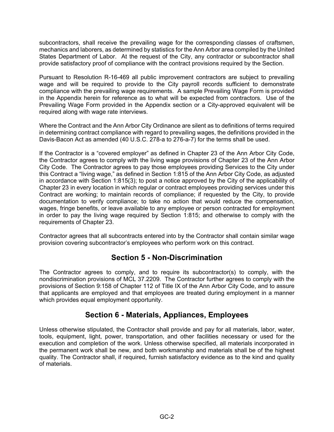subcontractors, shall receive the prevailing wage for the corresponding classes of craftsmen, mechanics and laborers, as determined by statistics for the Ann Arbor area compiled by the United States Department of Labor. At the request of the City, any contractor or subcontractor shall provide satisfactory proof of compliance with the contract provisions required by the Section.

Pursuant to Resolution R-16-469 all public improvement contractors are subject to prevailing wage and will be required to provide to the City payroll records sufficient to demonstrate compliance with the prevailing wage requirements. A sample Prevailing Wage Form is provided in the Appendix herein for reference as to what will be expected from contractors. Use of the Prevailing Wage Form provided in the Appendix section or a City-approved equivalent will be required along with wage rate interviews.

Where the Contract and the Ann Arbor City Ordinance are silent as to definitions of terms required in determining contract compliance with regard to prevailing wages, the definitions provided in the Davis-Bacon Act as amended (40 U.S.C. 278-a to 276-a-7) for the terms shall be used.

If the Contractor is a "covered employer" as defined in Chapter 23 of the Ann Arbor City Code, the Contractor agrees to comply with the living wage provisions of Chapter 23 of the Ann Arbor City Code. The Contractor agrees to pay those employees providing Services to the City under this Contract a "living wage," as defined in Section 1:815 of the Ann Arbor City Code, as adjusted in accordance with Section 1:815(3); to post a notice approved by the City of the applicability of Chapter 23 in every location in which regular or contract employees providing services under this Contract are working; to maintain records of compliance; if requested by the City, to provide documentation to verify compliance; to take no action that would reduce the compensation, wages, fringe benefits, or leave available to any employee or person contracted for employment in order to pay the living wage required by Section 1:815; and otherwise to comply with the requirements of Chapter 23.

Contractor agrees that all subcontracts entered into by the Contractor shall contain similar wage provision covering subcontractor's employees who perform work on this contract.

## **Section 5 - Non-Discrimination**

The Contractor agrees to comply, and to require its subcontractor(s) to comply, with the nondiscrimination provisions of MCL 37.2209. The Contractor further agrees to comply with the provisions of Section 9:158 of Chapter 112 of Title IX of the Ann Arbor City Code, and to assure that applicants are employed and that employees are treated during employment in a manner which provides equal employment opportunity.

## **Section 6 - Materials, Appliances, Employees**

Unless otherwise stipulated, the Contractor shall provide and pay for all materials, labor, water, tools, equipment, light, power, transportation, and other facilities necessary or used for the execution and completion of the work. Unless otherwise specified, all materials incorporated in the permanent work shall be new, and both workmanship and materials shall be of the highest quality. The Contractor shall, if required, furnish satisfactory evidence as to the kind and quality of materials.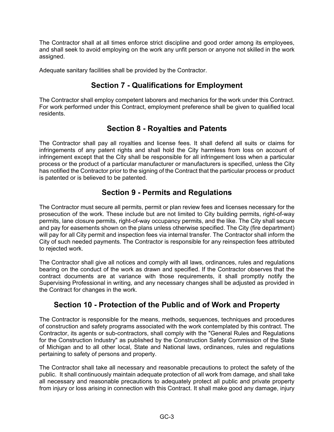The Contractor shall at all times enforce strict discipline and good order among its employees, and shall seek to avoid employing on the work any unfit person or anyone not skilled in the work assigned.

Adequate sanitary facilities shall be provided by the Contractor.

## **Section 7 - Qualifications for Employment**

The Contractor shall employ competent laborers and mechanics for the work under this Contract. For work performed under this Contract, employment preference shall be given to qualified local residents.

## **Section 8 - Royalties and Patents**

The Contractor shall pay all royalties and license fees. It shall defend all suits or claims for infringements of any patent rights and shall hold the City harmless from loss on account of infringement except that the City shall be responsible for all infringement loss when a particular process or the product of a particular manufacturer or manufacturers is specified, unless the City has notified the Contractor prior to the signing of the Contract that the particular process or product is patented or is believed to be patented.

## **Section 9 - Permits and Regulations**

The Contractor must secure all permits, permit or plan review fees and licenses necessary for the prosecution of the work. These include but are not limited to City building permits, right-of-way permits, lane closure permits, right-of-way occupancy permits, and the like. The City shall secure and pay for easements shown on the plans unless otherwise specified. The City (fire department) will pay for all City permit and inspection fees via internal transfer. The Contractor shall inform the City of such needed payments. The Contractor is responsible for any reinspection fees attributed to rejected work.

The Contractor shall give all notices and comply with all laws, ordinances, rules and regulations bearing on the conduct of the work as drawn and specified. If the Contractor observes that the contract documents are at variance with those requirements, it shall promptly notify the Supervising Professional in writing, and any necessary changes shall be adjusted as provided in the Contract for changes in the work.

## **Section 10 - Protection of the Public and of Work and Property**

The Contractor is responsible for the means, methods, sequences, techniques and procedures of construction and safety programs associated with the work contemplated by this contract. The Contractor, its agents or sub-contractors, shall comply with the "General Rules and Regulations for the Construction Industry" as published by the Construction Safety Commission of the State of Michigan and to all other local, State and National laws, ordinances, rules and regulations pertaining to safety of persons and property.

The Contractor shall take all necessary and reasonable precautions to protect the safety of the public. It shall continuously maintain adequate protection of all work from damage, and shall take all necessary and reasonable precautions to adequately protect all public and private property from injury or loss arising in connection with this Contract. It shall make good any damage, injury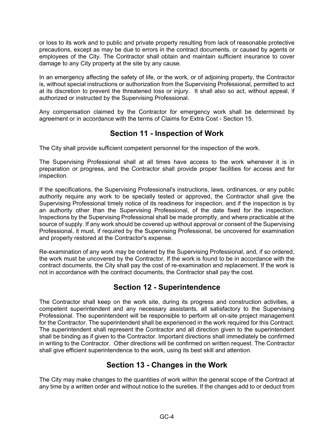or loss to its work and to public and private property resulting from lack of reasonable protective precautions, except as may be due to errors in the contract documents, or caused by agents or employees of the City. The Contractor shall obtain and maintain sufficient insurance to cover damage to any City property at the site by any cause.

In an emergency affecting the safety of life, or the work, or of adjoining property, the Contractor is, without special instructions or authorization from the Supervising Professional, permitted to act at its discretion to prevent the threatened loss or injury. It shall also so act, without appeal, if authorized or instructed by the Supervising Professional.

Any compensation claimed by the Contractor for emergency work shall be determined by agreement or in accordance with the terms of Claims for Extra Cost - Section 15.

## **Section 11 - Inspection of Work**

The City shall provide sufficient competent personnel for the inspection of the work.

The Supervising Professional shall at all times have access to the work whenever it is in preparation or progress, and the Contractor shall provide proper facilities for access and for inspection.

If the specifications, the Supervising Professional's instructions, laws, ordinances, or any public authority require any work to be specially tested or approved, the Contractor shall give the Supervising Professional timely notice of its readiness for inspection, and if the inspection is by an authority other than the Supervising Professional, of the date fixed for the inspection. Inspections by the Supervising Professional shall be made promptly, and where practicable at the source of supply. If any work should be covered up without approval or consent of the Supervising Professional, it must, if required by the Supervising Professional, be uncovered for examination and properly restored at the Contractor's expense.

Re-examination of any work may be ordered by the Supervising Professional, and, if so ordered, the work must be uncovered by the Contractor. If the work is found to be in accordance with the contract documents, the City shall pay the cost of re-examination and replacement. If the work is not in accordance with the contract documents, the Contractor shall pay the cost.

## **Section 12 - Superintendence**

The Contractor shall keep on the work site, during its progress and construction activities, a competent superintendent and any necessary assistants, all satisfactory to the Supervising Professional. The superintendent will be responsible to perform all on-site project management for the Contractor. The superintendent shall be experienced in the work required for this Contract. The superintendent shall represent the Contractor and all direction given to the superintendent shall be binding as if given to the Contractor. Important directions shall immediately be confirmed in writing to the Contractor. Other directions will be confirmed on written request. The Contractor shall give efficient superintendence to the work, using its best skill and attention.

## **Section 13 - Changes in the Work**

The City may make changes to the quantities of work within the general scope of the Contract at any time by a written order and without notice to the sureties. If the changes add to or deduct from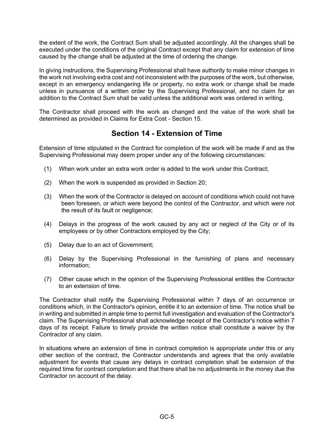the extent of the work, the Contract Sum shall be adjusted accordingly. All the changes shall be executed under the conditions of the original Contract except that any claim for extension of time caused by the change shall be adjusted at the time of ordering the change.

In giving instructions, the Supervising Professional shall have authority to make minor changes in the work not involving extra cost and not inconsistent with the purposes of the work, but otherwise, except in an emergency endangering life or property, no extra work or change shall be made unless in pursuance of a written order by the Supervising Professional, and no claim for an addition to the Contract Sum shall be valid unless the additional work was ordered in writing.

The Contractor shall proceed with the work as changed and the value of the work shall be determined as provided in Claims for Extra Cost - Section 15.

## **Section 14 - Extension of Time**

Extension of time stipulated in the Contract for completion of the work will be made if and as the Supervising Professional may deem proper under any of the following circumstances:

- (1) When work under an extra work order is added to the work under this Contract;
- (2) When the work is suspended as provided in Section 20;
- (3) When the work of the Contractor is delayed on account of conditions which could not have been foreseen, or which were beyond the control of the Contractor, and which were not the result of its fault or negligence;
- (4) Delays in the progress of the work caused by any act or neglect of the City or of its employees or by other Contractors employed by the City;
- (5) Delay due to an act of Government;
- (6) Delay by the Supervising Professional in the furnishing of plans and necessary information;
- (7) Other cause which in the opinion of the Supervising Professional entitles the Contractor to an extension of time.

The Contractor shall notify the Supervising Professional within 7 days of an occurrence or conditions which, in the Contractor's opinion, entitle it to an extension of time. The notice shall be in writing and submitted in ample time to permit full investigation and evaluation of the Contractor's claim. The Supervising Professional shall acknowledge receipt of the Contractor's notice within 7 days of its receipt. Failure to timely provide the written notice shall constitute a waiver by the Contractor of any claim.

In situations where an extension of time in contract completion is appropriate under this or any other section of the contract, the Contractor understands and agrees that the only available adjustment for events that cause any delays in contract completion shall be extension of the required time for contract completion and that there shall be no adjustments in the money due the Contractor on account of the delay.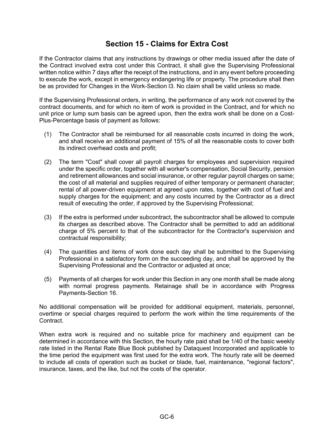## **Section 15 - Claims for Extra Cost**

If the Contractor claims that any instructions by drawings or other media issued after the date of the Contract involved extra cost under this Contract, it shall give the Supervising Professional written notice within 7 days after the receipt of the instructions, and in any event before proceeding to execute the work, except in emergency endangering life or property. The procedure shall then be as provided for Changes in the Work-Section l3. No claim shall be valid unless so made.

If the Supervising Professional orders, in writing, the performance of any work not covered by the contract documents, and for which no item of work is provided in the Contract, and for which no unit price or lump sum basis can be agreed upon, then the extra work shall be done on a Cost-Plus-Percentage basis of payment as follows:

- (1) The Contractor shall be reimbursed for all reasonable costs incurred in doing the work, and shall receive an additional payment of 15% of all the reasonable costs to cover both its indirect overhead costs and profit;
- (2) The term "Cost" shall cover all payroll charges for employees and supervision required under the specific order, together with all worker's compensation, Social Security, pension and retirement allowances and social insurance, or other regular payroll charges on same; the cost of all material and supplies required of either temporary or permanent character; rental of all power-driven equipment at agreed upon rates, together with cost of fuel and supply charges for the equipment; and any costs incurred by the Contractor as a direct result of executing the order, if approved by the Supervising Professional;
- (3) If the extra is performed under subcontract, the subcontractor shall be allowed to compute its charges as described above. The Contractor shall be permitted to add an additional charge of 5% percent to that of the subcontractor for the Contractor's supervision and contractual responsibility;
- (4) The quantities and items of work done each day shall be submitted to the Supervising Professional in a satisfactory form on the succeeding day, and shall be approved by the Supervising Professional and the Contractor or adjusted at once;
- (5) Payments of all charges for work under this Section in any one month shall be made along with normal progress payments. Retainage shall be in accordance with Progress Payments-Section 16.

No additional compensation will be provided for additional equipment, materials, personnel, overtime or special charges required to perform the work within the time requirements of the Contract.

When extra work is required and no suitable price for machinery and equipment can be determined in accordance with this Section, the hourly rate paid shall be 1/40 of the basic weekly rate listed in the Rental Rate Blue Book published by Dataquest Incorporated and applicable to the time period the equipment was first used for the extra work. The hourly rate will be deemed to include all costs of operation such as bucket or blade, fuel, maintenance, "regional factors", insurance, taxes, and the like, but not the costs of the operator.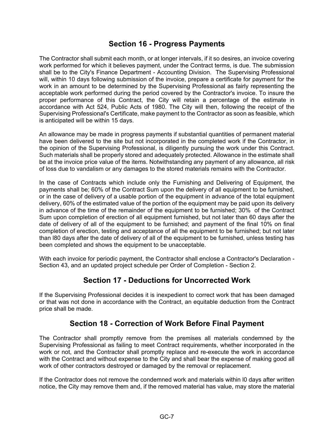## **Section 16 - Progress Payments**

The Contractor shall submit each month, or at longer intervals, if it so desires, an invoice covering work performed for which it believes payment, under the Contract terms, is due. The submission shall be to the City's Finance Department - Accounting Division. The Supervising Professional will, within 10 days following submission of the invoice, prepare a certificate for payment for the work in an amount to be determined by the Supervising Professional as fairly representing the acceptable work performed during the period covered by the Contractor's invoice. To insure the proper performance of this Contract, the City will retain a percentage of the estimate in accordance with Act 524, Public Acts of 1980. The City will then, following the receipt of the Supervising Professional's Certificate, make payment to the Contractor as soon as feasible, which is anticipated will be within 15 days.

An allowance may be made in progress payments if substantial quantities of permanent material have been delivered to the site but not incorporated in the completed work if the Contractor, in the opinion of the Supervising Professional, is diligently pursuing the work under this Contract. Such materials shall be properly stored and adequately protected. Allowance in the estimate shall be at the invoice price value of the items. Notwithstanding any payment of any allowance, all risk of loss due to vandalism or any damages to the stored materials remains with the Contractor.

In the case of Contracts which include only the Furnishing and Delivering of Equipment, the payments shall be; 60% of the Contract Sum upon the delivery of all equipment to be furnished, or in the case of delivery of a usable portion of the equipment in advance of the total equipment delivery, 60% of the estimated value of the portion of the equipment may be paid upon its delivery in advance of the time of the remainder of the equipment to be furnished; 30% of the Contract Sum upon completion of erection of all equipment furnished, but not later than 60 days after the date of delivery of all of the equipment to be furnished; and payment of the final 10% on final completion of erection, testing and acceptance of all the equipment to be furnished; but not later than l80 days after the date of delivery of all of the equipment to be furnished, unless testing has been completed and shows the equipment to be unacceptable.

With each invoice for periodic payment, the Contractor shall enclose a Contractor's Declaration - Section 43, and an updated project schedule per Order of Completion - Section 2.

## **Section 17 - Deductions for Uncorrected Work**

If the Supervising Professional decides it is inexpedient to correct work that has been damaged or that was not done in accordance with the Contract, an equitable deduction from the Contract price shall be made.

## **Section 18 - Correction of Work Before Final Payment**

The Contractor shall promptly remove from the premises all materials condemned by the Supervising Professional as failing to meet Contract requirements, whether incorporated in the work or not, and the Contractor shall promptly replace and re-execute the work in accordance with the Contract and without expense to the City and shall bear the expense of making good all work of other contractors destroyed or damaged by the removal or replacement.

If the Contractor does not remove the condemned work and materials within l0 days after written notice, the City may remove them and, if the removed material has value, may store the material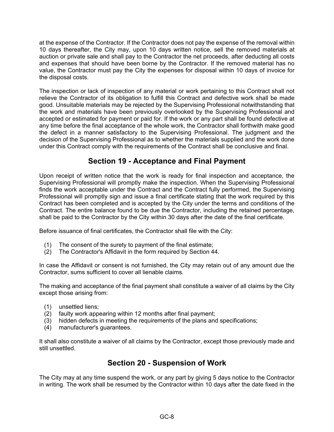at the expense of the Contractor. If the Contractor does not pay the expense of the removal within 10 days thereafter, the City may, upon 10 days written notice, sell the removed materials at auction or private sale and shall pay to the Contractor the net proceeds, after deducting all costs and expenses that should have been borne by the Contractor. If the removed material has no value, the Contractor must pay the City the expenses for disposal within 10 days of invoice for the disposal costs.

The inspection or lack of inspection of any material or work pertaining to this Contract shall not relieve the Contractor of its obligation to fulfill this Contract and defective work shall be made good. Unsuitable materials may be rejected by the Supervising Professional notwithstanding that the work and materials have been previously overlooked by the Supervising Professional and accepted or estimated for payment or paid for. If the work or any part shall be found defective at any time before the final acceptance of the whole work, the Contractor shall forthwith make good the defect in a manner satisfactory to the Supervising Professional. The judgment and the decision of the Supervising Professional as to whether the materials supplied and the work done under this Contract comply with the requirements of the Contract shall be conclusive and final.

## **Section 19 - Acceptance and Final Payment**

Upon receipt of written notice that the work is ready for final inspection and acceptance, the Supervising Professional will promptly make the inspection. When the Supervising Professional finds the work acceptable under the Contract and the Contract fully performed, the Supervising Professional will promptly sign and issue a final certificate stating that the work required by this Contract has been completed and is accepted by the City under the terms and conditions of the Contract. The entire balance found to be due the Contractor, including the retained percentage, shall be paid to the Contractor by the City within 30 days after the date of the final certificate.

Before issuance of final certificates, the Contractor shall file with the City:

- (1) The consent of the surety to payment of the final estimate;
- (2) The Contractor's Affidavit in the form required by Section 44.

In case the Affidavit or consent is not furnished, the City may retain out of any amount due the Contractor, sums sufficient to cover all lienable claims.

The making and acceptance of the final payment shall constitute a waiver of all claims by the City except those arising from:

- (1) unsettled liens;
- (2) faulty work appearing within 12 months after final payment;
- (3) hidden defects in meeting the requirements of the plans and specifications;
- (4) manufacturer's guarantees.

It shall also constitute a waiver of all claims by the Contractor, except those previously made and still unsettled.

## **Section 20 - Suspension of Work**

The City may at any time suspend the work, or any part by giving 5 days notice to the Contractor in writing. The work shall be resumed by the Contractor within 10 days after the date fixed in the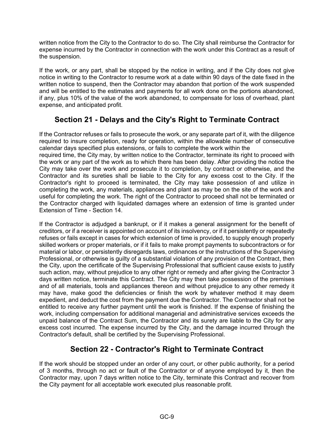written notice from the City to the Contractor to do so. The City shall reimburse the Contractor for expense incurred by the Contractor in connection with the work under this Contract as a result of the suspension.

If the work, or any part, shall be stopped by the notice in writing, and if the City does not give notice in writing to the Contractor to resume work at a date within 90 days of the date fixed in the written notice to suspend, then the Contractor may abandon that portion of the work suspended and will be entitled to the estimates and payments for all work done on the portions abandoned, if any, plus 10% of the value of the work abandoned, to compensate for loss of overhead, plant expense, and anticipated profit.

## **Section 21 - Delays and the City's Right to Terminate Contract**

If the Contractor refuses or fails to prosecute the work, or any separate part of it, with the diligence required to insure completion, ready for operation, within the allowable number of consecutive calendar days specified plus extensions, or fails to complete the work within the required time, the City may, by written notice to the Contractor, terminate its right to proceed with the work or any part of the work as to which there has been delay. After providing the notice the City may take over the work and prosecute it to completion, by contract or otherwise, and the Contractor and its sureties shall be liable to the City for any excess cost to the City. If the Contractor's right to proceed is terminated, the City may take possession of and utilize in completing the work, any materials, appliances and plant as may be on the site of the work and useful for completing the work. The right of the Contractor to proceed shall not be terminated or the Contractor charged with liquidated damages where an extension of time is granted under Extension of Time - Section 14.

If the Contractor is adjudged a bankrupt, or if it makes a general assignment for the benefit of creditors, or if a receiver is appointed on account of its insolvency, or if it persistently or repeatedly refuses or fails except in cases for which extension of time is provided, to supply enough properly skilled workers or proper materials, or if it fails to make prompt payments to subcontractors or for material or labor, or persistently disregards laws, ordinances or the instructions of the Supervising Professional, or otherwise is guilty of a substantial violation of any provision of the Contract, then the City, upon the certificate of the Supervising Professional that sufficient cause exists to justify such action, may, without prejudice to any other right or remedy and after giving the Contractor 3 days written notice, terminate this Contract. The City may then take possession of the premises and of all materials, tools and appliances thereon and without prejudice to any other remedy it may have, make good the deficiencies or finish the work by whatever method it may deem expedient, and deduct the cost from the payment due the Contractor. The Contractor shall not be entitled to receive any further payment until the work is finished. If the expense of finishing the work, including compensation for additional managerial and administrative services exceeds the unpaid balance of the Contract Sum, the Contractor and its surety are liable to the City for any excess cost incurred. The expense incurred by the City, and the damage incurred through the Contractor's default, shall be certified by the Supervising Professional.

## **Section 22 - Contractor's Right to Terminate Contract**

If the work should be stopped under an order of any court, or other public authority, for a period of 3 months, through no act or fault of the Contractor or of anyone employed by it, then the Contractor may, upon 7 days written notice to the City, terminate this Contract and recover from the City payment for all acceptable work executed plus reasonable profit.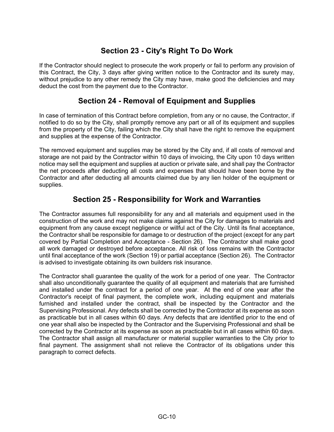## **Section 23 - City's Right To Do Work**

If the Contractor should neglect to prosecute the work properly or fail to perform any provision of this Contract, the City, 3 days after giving written notice to the Contractor and its surety may, without prejudice to any other remedy the City may have, make good the deficiencies and may deduct the cost from the payment due to the Contractor.

## **Section 24 - Removal of Equipment and Supplies**

In case of termination of this Contract before completion, from any or no cause, the Contractor, if notified to do so by the City, shall promptly remove any part or all of its equipment and supplies from the property of the City, failing which the City shall have the right to remove the equipment and supplies at the expense of the Contractor.

The removed equipment and supplies may be stored by the City and, if all costs of removal and storage are not paid by the Contractor within 10 days of invoicing, the City upon 10 days written notice may sell the equipment and supplies at auction or private sale, and shall pay the Contractor the net proceeds after deducting all costs and expenses that should have been borne by the Contractor and after deducting all amounts claimed due by any lien holder of the equipment or supplies.

## **Section 25 - Responsibility for Work and Warranties**

The Contractor assumes full responsibility for any and all materials and equipment used in the construction of the work and may not make claims against the City for damages to materials and equipment from any cause except negligence or willful act of the City. Until its final acceptance, the Contractor shall be responsible for damage to or destruction of the project (except for any part covered by Partial Completion and Acceptance - Section 26). The Contractor shall make good all work damaged or destroyed before acceptance. All risk of loss remains with the Contractor until final acceptance of the work (Section 19) or partial acceptance (Section 26). The Contractor is advised to investigate obtaining its own builders risk insurance.

The Contractor shall guarantee the quality of the work for a period of one year. The Contractor shall also unconditionally guarantee the quality of all equipment and materials that are furnished and installed under the contract for a period of one year. At the end of one year after the Contractor's receipt of final payment, the complete work, including equipment and materials furnished and installed under the contract, shall be inspected by the Contractor and the Supervising Professional. Any defects shall be corrected by the Contractor at its expense as soon as practicable but in all cases within 60 days. Any defects that are identified prior to the end of one year shall also be inspected by the Contractor and the Supervising Professional and shall be corrected by the Contractor at its expense as soon as practicable but in all cases within 60 days. The Contractor shall assign all manufacturer or material supplier warranties to the City prior to final payment. The assignment shall not relieve the Contractor of its obligations under this paragraph to correct defects.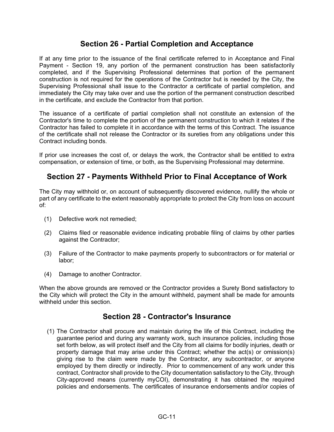## **Section 26 - Partial Completion and Acceptance**

If at any time prior to the issuance of the final certificate referred to in Acceptance and Final Payment - Section 19, any portion of the permanent construction has been satisfactorily completed, and if the Supervising Professional determines that portion of the permanent construction is not required for the operations of the Contractor but is needed by the City, the Supervising Professional shall issue to the Contractor a certificate of partial completion, and immediately the City may take over and use the portion of the permanent construction described in the certificate, and exclude the Contractor from that portion.

The issuance of a certificate of partial completion shall not constitute an extension of the Contractor's time to complete the portion of the permanent construction to which it relates if the Contractor has failed to complete it in accordance with the terms of this Contract. The issuance of the certificate shall not release the Contractor or its sureties from any obligations under this Contract including bonds.

If prior use increases the cost of, or delays the work, the Contractor shall be entitled to extra compensation, or extension of time, or both, as the Supervising Professional may determine.

## **Section 27 - Payments Withheld Prior to Final Acceptance of Work**

The City may withhold or, on account of subsequently discovered evidence, nullify the whole or part of any certificate to the extent reasonably appropriate to protect the City from loss on account of:

- (1) Defective work not remedied;
- (2) Claims filed or reasonable evidence indicating probable filing of claims by other parties against the Contractor;
- (3) Failure of the Contractor to make payments properly to subcontractors or for material or labor;
- (4) Damage to another Contractor.

When the above grounds are removed or the Contractor provides a Surety Bond satisfactory to the City which will protect the City in the amount withheld, payment shall be made for amounts withheld under this section.

## **Section 28 - Contractor's Insurance**

(1) The Contractor shall procure and maintain during the life of this Contract, including the guarantee period and during any warranty work, such insurance policies, including those set forth below, as will protect itself and the City from all claims for bodily injuries, death or property damage that may arise under this Contract; whether the act(s) or omission(s) giving rise to the claim were made by the Contractor, any subcontractor, or anyone employed by them directly or indirectly. Prior to commencement of any work under this contract, Contractor shall provide to the City documentation satisfactory to the City, through City-approved means (currently myCOI), demonstrating it has obtained the required policies and endorsements. The certificates of insurance endorsements and/or copies of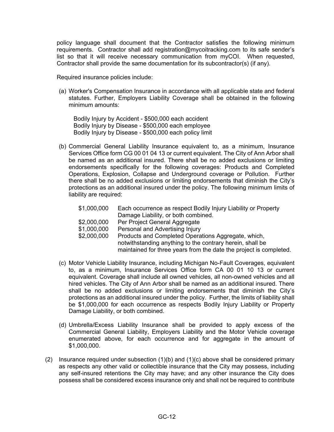policy language shall document that the Contractor satisfies the following minimum requirements. Contractor shall add registration@mycoitracking.com to its safe sender's list so that it will receive necessary communication from myCOI. When requested, Contractor shall provide the same documentation for its subcontractor(s) (if any).

Required insurance policies include:

(a) Worker's Compensation Insurance in accordance with all applicable state and federal statutes. Further, Employers Liability Coverage shall be obtained in the following minimum amounts:

 Bodily Injury by Accident - \$500,000 each accident Bodily Injury by Disease - \$500,000 each employee Bodily Injury by Disease - \$500,000 each policy limit

(b) Commercial General Liability Insurance equivalent to, as a minimum, Insurance Services Office form CG 00 01 04 13 or current equivalent. The City of Ann Arbor shall be named as an additional insured. There shall be no added exclusions or limiting endorsements specifically for the following coverages: Products and Completed Operations, Explosion, Collapse and Underground coverage or Pollution. Further there shall be no added exclusions or limiting endorsements that diminish the City's protections as an additional insured under the policy. The following minimum limits of liability are required:

| \$1,000,000 | Each occurrence as respect Bodily Injury Liability or Property     |
|-------------|--------------------------------------------------------------------|
|             | Damage Liability, or both combined.                                |
| \$2,000,000 | Per Project General Aggregate                                      |
| \$1,000,000 | Personal and Advertising Injury                                    |
| \$2,000,000 | Products and Completed Operations Aggregate, which,                |
|             | notwithstanding anything to the contrary herein, shall be          |
|             | maintained for three years from the date the project is completed. |

- (c) Motor Vehicle Liability Insurance, including Michigan No-Fault Coverages, equivalent to, as a minimum, Insurance Services Office form CA 00 01 10 13 or current equivalent. Coverage shall include all owned vehicles, all non-owned vehicles and all hired vehicles. The City of Ann Arbor shall be named as an additional insured. There shall be no added exclusions or limiting endorsements that diminish the City's protections as an additional insured under the policy. Further, the limits of liability shall be \$1,000,000 for each occurrence as respects Bodily Injury Liability or Property Damage Liability, or both combined.
- (d) Umbrella/Excess Liability Insurance shall be provided to apply excess of the Commercial General Liability, Employers Liability and the Motor Vehicle coverage enumerated above, for each occurrence and for aggregate in the amount of \$1,000,000.
- (2) Insurance required under subsection (1)(b) and (1)(c) above shall be considered primary as respects any other valid or collectible insurance that the City may possess, including any self-insured retentions the City may have; and any other insurance the City does possess shall be considered excess insurance only and shall not be required to contribute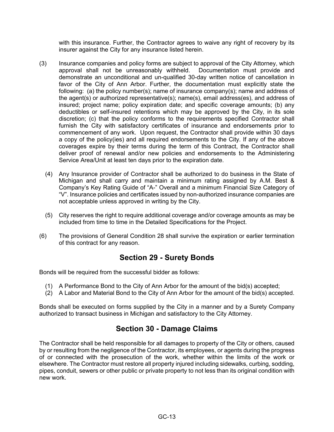with this insurance. Further, the Contractor agrees to waive any right of recovery by its insurer against the City for any insurance listed herein.

- (3) Insurance companies and policy forms are subject to approval of the City Attorney, which<br>approval shall not be unreasonably withheld. Documentation must provide and approval shall not be unreasonably withheld. demonstrate an unconditional and un-qualified 30-day written notice of cancellation in favor of the City of Ann Arbor. Further, the documentation must explicitly state the following: (a) the policy number(s); name of insurance company(s); name and address of the agent(s) or authorized representative(s); name(s), email address(es), and address of insured; project name; policy expiration date; and specific coverage amounts; (b) any deductibles or self-insured retentions which may be approved by the City, in its sole discretion; (c) that the policy conforms to the requirements specified Contractor shall furnish the City with satisfactory certificates of insurance and endorsements prior to commencement of any work. Upon request, the Contractor shall provide within 30 days a copy of the policy(ies) and all required endorsements to the City. If any of the above coverages expire by their terms during the term of this Contract, the Contractor shall deliver proof of renewal and/or new policies and endorsements to the Administering Service Area/Unit at least ten days prior to the expiration date.
	- (4) Any Insurance provider of Contractor shall be authorized to do business in the State of Michigan and shall carry and maintain a minimum rating assigned by A.M. Best & Company's Key Rating Guide of "A-" Overall and a minimum Financial Size Category of "V". Insurance policies and certificates issued by non-authorized insurance companies are not acceptable unless approved in writing by the City.
	- (5) City reserves the right to require additional coverage and/or coverage amounts as may be included from time to time in the Detailed Specifications for the Project.
- (6) The provisions of General Condition 28 shall survive the expiration or earlier termination of this contract for any reason.

## **Section 29 - Surety Bonds**

Bonds will be required from the successful bidder as follows:

- (1) A Performance Bond to the City of Ann Arbor for the amount of the bid(s) accepted;
- (2) A Labor and Material Bond to the City of Ann Arbor for the amount of the bid(s) accepted.

Bonds shall be executed on forms supplied by the City in a manner and by a Surety Company authorized to transact business in Michigan and satisfactory to the City Attorney.

## **Section 30 - Damage Claims**

The Contractor shall be held responsible for all damages to property of the City or others, caused by or resulting from the negligence of the Contractor, its employees, or agents during the progress of or connected with the prosecution of the work, whether within the limits of the work or elsewhere. The Contractor must restore all property injured including sidewalks, curbing, sodding, pipes, conduit, sewers or other public or private property to not less than its original condition with new work.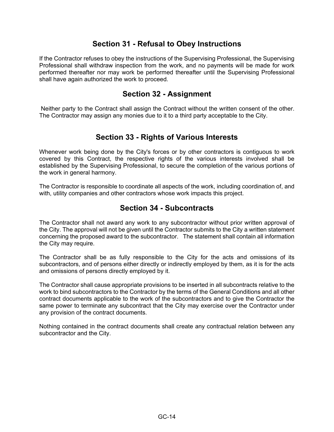## **Section 31 - Refusal to Obey Instructions**

If the Contractor refuses to obey the instructions of the Supervising Professional, the Supervising Professional shall withdraw inspection from the work, and no payments will be made for work performed thereafter nor may work be performed thereafter until the Supervising Professional shall have again authorized the work to proceed.

## **Section 32 - Assignment**

 Neither party to the Contract shall assign the Contract without the written consent of the other. The Contractor may assign any monies due to it to a third party acceptable to the City.

## **Section 33 - Rights of Various Interests**

Whenever work being done by the City's forces or by other contractors is contiguous to work covered by this Contract, the respective rights of the various interests involved shall be established by the Supervising Professional, to secure the completion of the various portions of the work in general harmony.

The Contractor is responsible to coordinate all aspects of the work, including coordination of, and with, utility companies and other contractors whose work impacts this project.

## **Section 34 - Subcontracts**

The Contractor shall not award any work to any subcontractor without prior written approval of the City. The approval will not be given until the Contractor submits to the City a written statement concerning the proposed award to the subcontractor. The statement shall contain all information the City may require.

The Contractor shall be as fully responsible to the City for the acts and omissions of its subcontractors, and of persons either directly or indirectly employed by them, as it is for the acts and omissions of persons directly employed by it.

The Contractor shall cause appropriate provisions to be inserted in all subcontracts relative to the work to bind subcontractors to the Contractor by the terms of the General Conditions and all other contract documents applicable to the work of the subcontractors and to give the Contractor the same power to terminate any subcontract that the City may exercise over the Contractor under any provision of the contract documents.

Nothing contained in the contract documents shall create any contractual relation between any subcontractor and the City.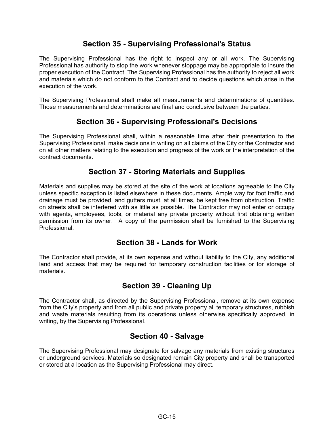## **Section 35 - Supervising Professional's Status**

The Supervising Professional has the right to inspect any or all work. The Supervising Professional has authority to stop the work whenever stoppage may be appropriate to insure the proper execution of the Contract. The Supervising Professional has the authority to reject all work and materials which do not conform to the Contract and to decide questions which arise in the execution of the work.

The Supervising Professional shall make all measurements and determinations of quantities. Those measurements and determinations are final and conclusive between the parties.

## **Section 36 - Supervising Professional's Decisions**

The Supervising Professional shall, within a reasonable time after their presentation to the Supervising Professional, make decisions in writing on all claims of the City or the Contractor and on all other matters relating to the execution and progress of the work or the interpretation of the contract documents.

## **Section 37 - Storing Materials and Supplies**

Materials and supplies may be stored at the site of the work at locations agreeable to the City unless specific exception is listed elsewhere in these documents. Ample way for foot traffic and drainage must be provided, and gutters must, at all times, be kept free from obstruction. Traffic on streets shall be interfered with as little as possible. The Contractor may not enter or occupy with agents, employees, tools, or material any private property without first obtaining written permission from its owner. A copy of the permission shall be furnished to the Supervising Professional.

## **Section 38 - Lands for Work**

The Contractor shall provide, at its own expense and without liability to the City, any additional land and access that may be required for temporary construction facilities or for storage of materials.

## **Section 39 - Cleaning Up**

The Contractor shall, as directed by the Supervising Professional, remove at its own expense from the City's property and from all public and private property all temporary structures, rubbish and waste materials resulting from its operations unless otherwise specifically approved, in writing, by the Supervising Professional.

## **Section 40 - Salvage**

The Supervising Professional may designate for salvage any materials from existing structures or underground services. Materials so designated remain City property and shall be transported or stored at a location as the Supervising Professional may direct.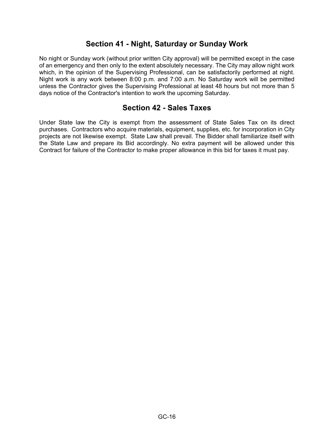## **Section 41 - Night, Saturday or Sunday Work**

No night or Sunday work (without prior written City approval) will be permitted except in the case of an emergency and then only to the extent absolutely necessary. The City may allow night work which, in the opinion of the Supervising Professional, can be satisfactorily performed at night. Night work is any work between 8:00 p.m. and 7:00 a.m. No Saturday work will be permitted unless the Contractor gives the Supervising Professional at least 48 hours but not more than 5 days notice of the Contractor's intention to work the upcoming Saturday.

## **Section 42 - Sales Taxes**

Under State law the City is exempt from the assessment of State Sales Tax on its direct purchases. Contractors who acquire materials, equipment, supplies, etc. for incorporation in City projects are not likewise exempt. State Law shall prevail. The Bidder shall familiarize itself with the State Law and prepare its Bid accordingly. No extra payment will be allowed under this Contract for failure of the Contractor to make proper allowance in this bid for taxes it must pay.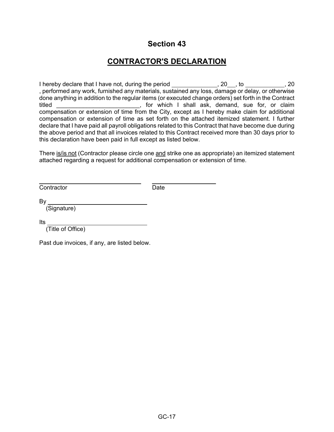## **Section 43**

## **CONTRACTOR'S DECLARATION**

I hereby declare that I have not, during the period \_\_\_\_\_\_\_\_\_\_\_\_\_, 20\_\_, to \_\_\_\_\_\_\_\_\_\_\_, 20 , performed any work, furnished any materials, sustained any loss, damage or delay, or otherwise done anything in addition to the regular items (or executed change orders) set forth in the Contract titled \_\_\_\_\_\_\_\_\_\_\_\_\_\_\_\_\_\_\_\_\_\_\_\_\_, for which I shall ask, demand, sue for, or claim compensation or extension of time from the City, except as I hereby make claim for additional compensation or extension of time as set forth on the attached itemized statement. I further declare that I have paid all payroll obligations related to this Contract that have become due during the above period and that all invoices related to this Contract received more than 30 days prior to this declaration have been paid in full except as listed below.

There is/is not (Contractor please circle one and strike one as appropriate) an itemized statement attached regarding a request for additional compensation or extension of time.

 $\overline{a}$ Contractor Date

By

(Signature)

Its

(Title of Office)

Past due invoices, if any, are listed below.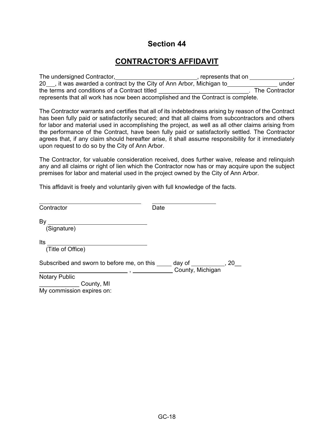## **Section 44**

## **CONTRACTOR'S AFFIDAVIT**

The undersigned Contractor,  $\qquad \qquad$ , represents that on 20 in the average contract by the City of Ann Arbor, Michigan to under the terms and conditions of a Contract titled \_\_\_\_\_\_\_\_\_\_\_\_\_\_\_\_\_\_\_\_\_\_\_\_\_\_\_. The Contractor represents that all work has now been accomplished and the Contract is complete.

The Contractor warrants and certifies that all of its indebtedness arising by reason of the Contract has been fully paid or satisfactorily secured; and that all claims from subcontractors and others for labor and material used in accomplishing the project, as well as all other claims arising from the performance of the Contract, have been fully paid or satisfactorily settled. The Contractor agrees that, if any claim should hereafter arise, it shall assume responsibility for it immediately upon request to do so by the City of Ann Arbor.

The Contractor, for valuable consideration received, does further waive, release and relinquish any and all claims or right of lien which the Contractor now has or may acquire upon the subject premises for labor and material used in the project owned by the City of Ann Arbor.

This affidavit is freely and voluntarily given with full knowledge of the facts.

| Contractor                                                                        | Date                     |
|-----------------------------------------------------------------------------------|--------------------------|
| By<br>(Signature)                                                                 |                          |
| lts<br>(Title of Office)                                                          |                          |
| Subscribed and sworn to before me, on this <u>equilibrative day</u> of elections. | . 20<br>County, Michigan |
| <b>Notary Public</b><br>County, MI<br>My commission expires on:                   |                          |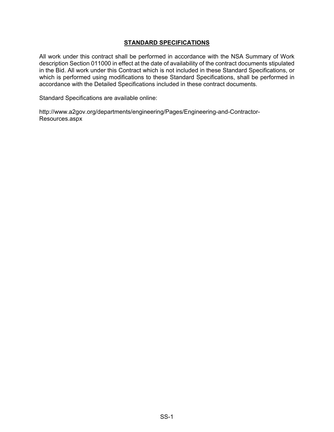#### **STANDARD SPECIFICATIONS**

All work under this contract shall be performed in accordance with the NSA Summary of Work description Section 011000 in effect at the date of availability of the contract documents stipulated in the Bid. All work under this Contract which is not included in these Standard Specifications, or which is performed using modifications to these Standard Specifications, shall be performed in accordance with the Detailed Specifications included in these contract documents.

Standard Specifications are available online:

http://www.a2gov.org/departments/engineering/Pages/Engineering-and-Contractor-Resources.aspx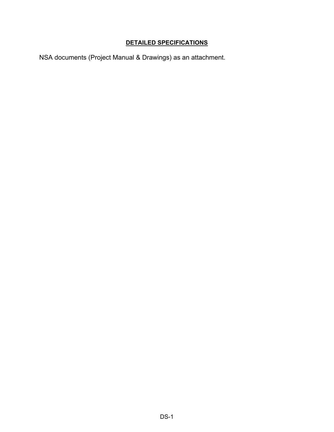## **DETAILED SPECIFICATIONS**

NSA documents (Project Manual & Drawings) as an attachment.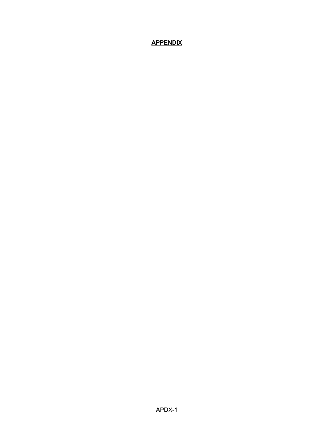## **APPENDIX**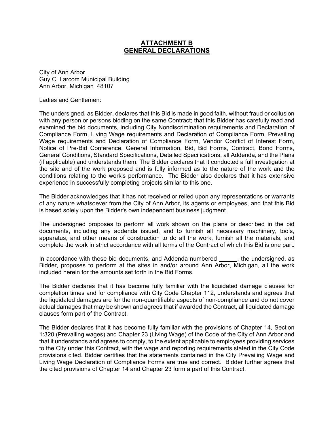#### **ATTACHMENT B GENERAL DECLARATIONS**

City of Ann Arbor Guy C. Larcom Municipal Building Ann Arbor, Michigan 48107

Ladies and Gentlemen:

The undersigned, as Bidder, declares that this Bid is made in good faith, without fraud or collusion with any person or persons bidding on the same Contract; that this Bidder has carefully read and examined the bid documents, including City Nondiscrimination requirements and Declaration of Compliance Form, Living Wage requirements and Declaration of Compliance Form, Prevailing Wage requirements and Declaration of Compliance Form, Vendor Conflict of Interest Form, Notice of Pre-Bid Conference, General Information, Bid, Bid Forms, Contract, Bond Forms, General Conditions, Standard Specifications, Detailed Specifications, all Addenda, and the Plans (if applicable) and understands them. The Bidder declares that it conducted a full investigation at the site and of the work proposed and is fully informed as to the nature of the work and the conditions relating to the work's performance. The Bidder also declares that it has extensive experience in successfully completing projects similar to this one.

The Bidder acknowledges that it has not received or relied upon any representations or warrants of any nature whatsoever from the City of Ann Arbor, its agents or employees, and that this Bid is based solely upon the Bidder's own independent business judgment.

The undersigned proposes to perform all work shown on the plans or described in the bid documents, including any addenda issued, and to furnish all necessary machinery, tools, apparatus, and other means of construction to do all the work, furnish all the materials, and complete the work in strict accordance with all terms of the Contract of which this Bid is one part.

In accordance with these bid documents, and Addenda numbered, the undersigned, as Bidder, proposes to perform at the sites in and/or around Ann Arbor, Michigan, all the work included herein for the amounts set forth in the Bid Forms.

The Bidder declares that it has become fully familiar with the liquidated damage clauses for completion times and for compliance with City Code Chapter 112, understands and agrees that the liquidated damages are for the non-quantifiable aspects of non-compliance and do not cover actual damages that may be shown and agrees that if awarded the Contract, all liquidated damage clauses form part of the Contract.

The Bidder declares that it has become fully familiar with the provisions of Chapter 14, Section 1:320 (Prevailing wages) and Chapter 23 (Living Wage) of the Code of the City of Ann Arbor and that it understands and agrees to comply, to the extent applicable to employees providing services to the City under this Contract, with the wage and reporting requirements stated in the City Code provisions cited. Bidder certifies that the statements contained in the City Prevailing Wage and Living Wage Declaration of Compliance Forms are true and correct. Bidder further agrees that the cited provisions of Chapter 14 and Chapter 23 form a part of this Contract.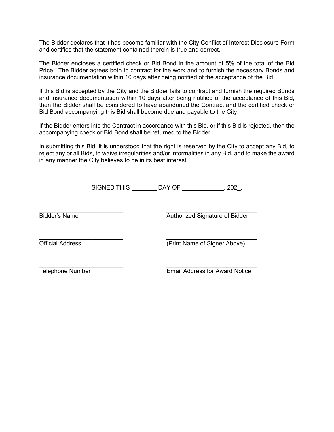The Bidder declares that it has become familiar with the City Conflict of Interest Disclosure Form and certifies that the statement contained therein is true and correct.

The Bidder encloses a certified check or Bid Bond in the amount of 5% of the total of the Bid Price. The Bidder agrees both to contract for the work and to furnish the necessary Bonds and insurance documentation within 10 days after being notified of the acceptance of the Bid.

If this Bid is accepted by the City and the Bidder fails to contract and furnish the required Bonds and insurance documentation within 10 days after being notified of the acceptance of this Bid, then the Bidder shall be considered to have abandoned the Contract and the certified check or Bid Bond accompanying this Bid shall become due and payable to the City.

If the Bidder enters into the Contract in accordance with this Bid, or if this Bid is rejected, then the accompanying check or Bid Bond shall be returned to the Bidder.

In submitting this Bid, it is understood that the right is reserved by the City to accept any Bid, to reject any or all Bids, to waive irregularities and/or informalities in any Bid, and to make the award in any manner the City believes to be in its best interest.

SIGNED THIS \_\_\_\_\_\_\_\_\_ DAY OF \_\_\_\_\_\_\_\_\_\_\_\_\_\_, 202 .

\_\_\_\_\_\_\_\_\_\_\_\_\_\_\_\_\_\_\_\_\_\_\_\_\_ \_\_\_\_\_\_\_\_\_\_\_\_\_\_\_\_\_\_\_\_\_\_\_\_\_\_\_

\_\_\_\_\_\_\_\_\_\_\_\_\_\_\_\_\_\_\_\_\_\_\_\_\_ \_\_\_\_\_\_\_\_\_\_\_\_\_\_\_\_\_\_\_\_\_\_\_\_\_\_\_

Bidder's Name **Authorized Signature of Bidder** 

**Official Address** (Print Name of Signer Above)

Telephone Number **Email Address for Award Notice**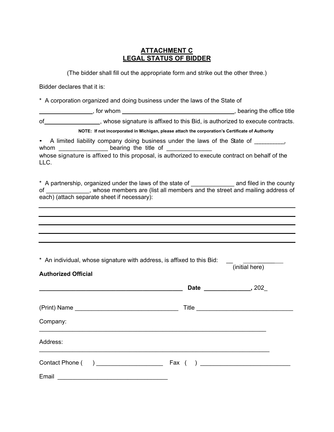#### **ATTACHMENT C LEGAL STATUS OF BIDDER**

(The bidder shall fill out the appropriate form and strike out the other three.)

Bidder declares that it is:

\* A corporation organized and doing business under the laws of the State of

, for whom , bearing the office title of 1. Whose signature is affixed to this Bid, is authorized to execute contracts. **NOTE: If not incorporated in Michigan, please attach the corporation's Certificate of Authority**  • A limited liability company doing business under the laws of the State of \_\_\_\_\_\_\_\_, whom \_\_\_\_\_\_\_\_\_\_\_\_\_\_\_\_\_\_\_ bearing the title of \_\_\_\_\_\_\_\_\_\_\_\_\_\_\_\_\_\_\_\_\_\_\_\_\_\_\_\_\_\_\_\_\_\_ whose signature is affixed to this proposal, is authorized to execute contract on behalf of the LLC. \* A partnership, organized under the laws of the state of the state of and filed in the county of \_\_\_\_\_\_\_\_\_\_\_\_\_, whose members are (list all members and the street and mailing address of each) (attach separate sheet if necessary): \* An individual, whose signature with address, is affixed to this Bid: (initial here) **Authorized Official \_\_\_\_\_\_\_\_\_\_\_\_\_\_\_\_\_\_\_\_\_\_\_\_\_\_\_\_\_\_\_\_\_\_\_\_\_\_\_\_\_\_\_ Date \_\_\_\_\_\_\_\_\_\_\_\_\_\_,** 202\_ (Print) Name \_\_\_\_\_\_\_\_\_\_\_\_\_\_\_\_\_\_\_\_\_\_\_\_\_\_\_\_\_\_\_ Title \_\_\_\_\_\_\_\_\_\_\_\_\_\_\_\_\_\_\_\_\_\_\_\_\_\_\_\_\_ Company: Address:  $\mathcal{L}_\text{max}$  and  $\mathcal{L}_\text{max}$  and  $\mathcal{L}_\text{max}$  and  $\mathcal{L}_\text{max}$  and  $\mathcal{L}_\text{max}$  and  $\mathcal{L}_\text{max}$ Contact Phone ( ) \_\_\_\_\_\_\_\_\_\_\_\_\_\_\_\_\_\_\_\_ Fax ( ) \_\_\_\_\_\_\_\_\_\_\_\_\_\_\_\_\_\_\_\_\_\_\_\_\_\_\_ Email \_\_\_\_\_\_\_\_\_\_\_\_\_\_\_\_\_\_\_\_\_\_\_\_\_\_\_\_\_\_\_\_\_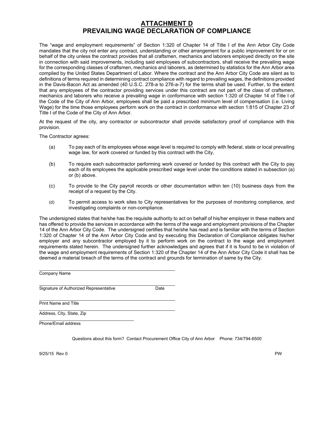#### **ATTACHMENT D PREVAILING WAGE DECLARATION OF COMPLIANCE**

The "wage and employment requirements" of Section 1:320 of Chapter 14 of Title I of the Ann Arbor City Code mandates that the city not enter any contract, understanding or other arrangement for a public improvement for or on behalf of the city unless the contract provides that all craftsmen, mechanics and laborers employed directly on the site in connection with said improvements, including said employees of subcontractors, shall receive the prevailing wage for the corresponding classes of craftsmen, mechanics and laborers, as determined by statistics for the Ann Arbor area compiled by the United States Department of Labor. Where the contract and the Ann Arbor City Code are silent as to definitions of terms required in determining contract compliance with regard to prevailing wages, the definitions provided in the Davis-Bacon Act as amended (40 U.S.C. 278-a to 276-a-7) for the terms shall be used. Further, to the extent that any employees of the contractor providing services under this contract are not part of the class of craftsmen, mechanics and laborers who receive a prevailing wage in conformance with section 1:320 of Chapter 14 of Title I of the Code of the City of Ann Arbor, employees shall be paid a prescribed minimum level of compensation (i.e. Living Wage) for the time those employees perform work on the contract in conformance with section 1:815 of Chapter 23 of Title I of the Code of the City of Ann Arbor.

At the request of the city, any contractor or subcontractor shall provide satisfactory proof of compliance with this provision.

The Contractor agrees:

- (a) To pay each of its employees whose wage level is required to comply with federal, state or local prevailing wage law, for work covered or funded by this contract with the City,
- (b) To require each subcontractor performing work covered or funded by this contract with the City to pay each of its employees the applicable prescribed wage level under the conditions stated in subsection (a) or (b) above.
- (c) To provide to the City payroll records or other documentation within ten (10) business days from the receipt of a request by the City.
- (d) To permit access to work sites to City representatives for the purposes of monitoring compliance, and investigating complaints or non-compliance.

The undersigned states that he/she has the requisite authority to act on behalf of his/her employer in these matters and has offered to provide the services in accordance with the terms of the wage and employment provisions of the Chapter 14 of the Ann Arbor City Code. The undersigned certifies that he/she has read and is familiar with the terms of Section 1:320 of Chapter 14 of the Ann Arbor City Code and by executing this Declaration of Compliance obligates his/her employer and any subcontractor employed by it to perform work on the contract to the wage and employment requirements stated herein. The undersigned further acknowledges and agrees that if it is found to be in violation of the wage and employment requirements of Section 1:320 of the Chapter 14 of the Ann Arbor City Code it shall has be deemed a material breach of the terms of the contract and grounds for termination of same by the City.

\_\_\_\_\_\_\_\_\_\_\_\_\_\_\_\_\_\_\_\_\_\_\_\_\_\_\_\_\_\_\_\_\_\_\_\_\_\_\_\_\_\_\_\_\_\_\_\_\_\_\_\_\_\_\_\_ Company Name

 $\mathcal{L}_\text{max}$  and the contract of the contract of the contract of the contract of the contract of the contract of the contract of the contract of the contract of the contract of the contract of the contract of the contrac Signature of Authorized Representative Date

 $\mathcal{L}_\text{max}$ 

 $\mathcal{L}_\text{max}$  and the contract of the contract of the contract of the contract of the contract of the contract of the contract of the contract of the contract of the contract of the contract of the contract of the contrac Print Name and Title

 $\mathcal{L}_\text{max}$  and the contract of the contract of the contract of the contract of the contract of the contract of the contract of the contract of the contract of the contract of the contract of the contract of the contrac Address, City, State, Zip

Phone/Email address

Questions about this form? Contact Procurement Office City of Ann Arbor Phone: 734/794-6500

9/25/15 Rev 0 PW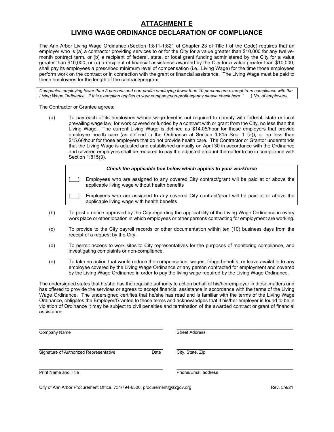#### **ATTACHMENT E LIVING WAGE ORDINANCE DECLARATION OF COMPLIANCE**

The Ann Arbor Living Wage Ordinance (Section 1:811-1:821 of Chapter 23 of Title I of the Code) requires that an employer who is (a) a contractor providing services to or for the City for a value greater than \$10,000 for any twelvemonth contract term, or (b) a recipient of federal, state, or local grant funding administered by the City for a value greater than \$10,000, or (c) a recipient of financial assistance awarded by the City for a value greater than \$10,000, shall pay its employees a prescribed minimum level of compensation (i.e., Living Wage) for the time those employees perform work on the contract or in connection with the grant or financial assistance. The Living Wage must be paid to these employees for the length of the contract/program.

*Companies employing fewer than 5 persons and non-profits employing fewer than 10 persons are exempt from compliance with the Living Wage Ordinance. If this exemption applies to your company/non-profit agency please check here* [\_\_\_] *No. of employees*\_\_

The Contractor or Grantee agrees:

(a) To pay each of its employees whose wage level is not required to comply with federal, state or local prevailing wage law, for work covered or funded by a contract with or grant from the City, no less than the Living Wage. The current Living Wage is defined as \$14.05/hour for those employers that provide employee health care (as defined in the Ordinance at Section 1:815 Sec. 1 (a)), or no less than \$15.66/hour for those employers that do not provide health care. The Contractor or Grantor understands that the Living Wage is adjusted and established annually on April 30 in accordance with the Ordinance and covered employers shall be required to pay the adjusted amount thereafter to be in compliance with Section 1:815(3).

*Check the applicable box below which applies to your workforce* 

- Employees who are assigned to any covered City contract/grant will be paid at or above the applicable living wage without health benefits
- [\_\_\_] Employees who are assigned to any covered City contract/grant will be paid at or above the applicable living wage with health benefits
- (b) To post a notice approved by the City regarding the applicability of the Living Wage Ordinance in every work place or other location in which employees or other persons contracting for employment are working.
- (c) To provide to the City payroll records or other documentation within ten (10) business days from the receipt of a request by the City.
- (d) To permit access to work sites to City representatives for the purposes of monitoring compliance, and investigating complaints or non-compliance.
- (e) To take no action that would reduce the compensation, wages, fringe benefits, or leave available to any employee covered by the Living Wage Ordinance or any person contracted for employment and covered by the Living Wage Ordinance in order to pay the living wage required by the Living Wage Ordinance.

The undersigned states that he/she has the requisite authority to act on behalf of his/her employer in these matters and has offered to provide the services or agrees to accept financial assistance in accordance with the terms of the Living Wage Ordinance. The undersigned certifies that he/she has read and is familiar with the terms of the Living Wage Ordinance, obligates the Employer/Grantee to those terms and acknowledges that if his/her employer is found to be in violation of Ordinance it may be subject to civil penalties and termination of the awarded contract or grant of financial assistance.

| Company Name                           |      | <b>Street Address</b> |
|----------------------------------------|------|-----------------------|
| Signature of Authorized Representative | Date | City, State, Zip      |
| Print Name and Title                   |      | Phone/Email address   |

City of Ann Arbor Procurement Office, 734/794-6500, procurement@a2gov.org Rev. 3/9/21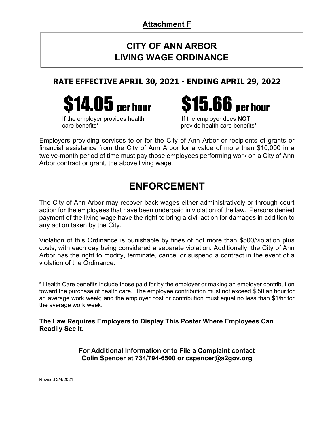# **CITY OF ANN ARBOR LIVING WAGE ORDINANCE**

# **RATE EFFECTIVE APRIL 30, 2021 - ENDING APRIL 29, 2022**





If the employer provides health If the employer does **NOT** care benefits**\*** provide health care benefits**\***

Employers providing services to or for the City of Ann Arbor or recipients of grants or financial assistance from the City of Ann Arbor for a value of more than \$10,000 in a twelve-month period of time must pay those employees performing work on a City of Ann Arbor contract or grant, the above living wage.

# **ENFORCEMENT**

The City of Ann Arbor may recover back wages either administratively or through court action for the employees that have been underpaid in violation of the law. Persons denied payment of the living wage have the right to bring a civil action for damages in addition to any action taken by the City.

Violation of this Ordinance is punishable by fines of not more than \$500/violation plus costs, with each day being considered a separate violation. Additionally, the City of Ann Arbor has the right to modify, terminate, cancel or suspend a contract in the event of a violation of the Ordinance.

**\*** Health Care benefits include those paid for by the employer or making an employer contribution toward the purchase of health care. The employee contribution must not exceed \$.50 an hour for an average work week; and the employer cost or contribution must equal no less than \$1/hr for the average work week.

**The Law Requires Employers to Display This Poster Where Employees Can Readily See It.** 

> **For Additional Information or to File a Complaint contact Colin Spencer at 734/794-6500 or cspencer@a2gov.org**

Revised 2/4/2021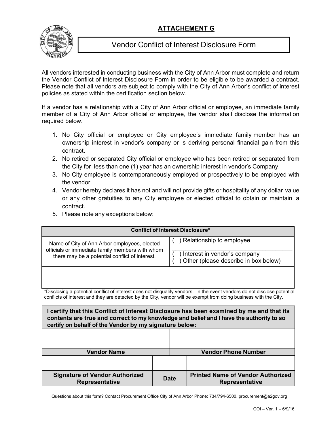## **ATTACHEMENT G**



## Vendor Conflict of Interest Disclosure Form

All vendors interested in conducting business with the City of Ann Arbor must complete and return the Vendor Conflict of Interest Disclosure Form in order to be eligible to be awarded a contract. Please note that all vendors are subject to comply with the City of Ann Arbor's conflict of interest policies as stated within the certification section below.

If a vendor has a relationship with a City of Ann Arbor official or employee, an immediate family member of a City of Ann Arbor official or employee, the vendor shall disclose the information required below.

- 1. No City official or employee or City employee's immediate family member has an ownership interest in vendor's company or is deriving personal financial gain from this contract.
- 2. No retired or separated City official or employee who has been retired or separated from the City for less than one (1) year has an ownership interest in vendor's Company.
- 3. No City employee is contemporaneously employed or prospectively to be employed with the vendor.
- 4. Vendor hereby declares it has not and will not provide gifts or hospitality of any dollar value or any other gratuities to any City employee or elected official to obtain or maintain a contract.
- 5. Please note any exceptions below:

| <b>Conflict of Interest Disclosure*</b>                                                                                                           |                                                                                                    |  |  |  |  |  |  |  |  |  |
|---------------------------------------------------------------------------------------------------------------------------------------------------|----------------------------------------------------------------------------------------------------|--|--|--|--|--|--|--|--|--|
| Name of City of Ann Arbor employees, elected<br>officials or immediate family members with whom<br>there may be a potential conflict of interest. | Relationship to employee<br>Interest in vendor's company<br>) Other (please describe in box below) |  |  |  |  |  |  |  |  |  |
|                                                                                                                                                   |                                                                                                    |  |  |  |  |  |  |  |  |  |

\*Disclosing a potential conflict of interest does not disqualify vendors. In the event vendors do not disclose potential conflicts of interest and they are detected by the City, vendor will be exempt from doing business with the City.

| I certify that this Conflict of Interest Disclosure has been examined by me and that its<br>contents are true and correct to my knowledge and belief and I have the authority to so<br>certify on behalf of the Vendor by my signature below: |  |                            |  |  |  |  |  |  |  |  |  |
|-----------------------------------------------------------------------------------------------------------------------------------------------------------------------------------------------------------------------------------------------|--|----------------------------|--|--|--|--|--|--|--|--|--|
|                                                                                                                                                                                                                                               |  |                            |  |  |  |  |  |  |  |  |  |
| <b>Vendor Name</b>                                                                                                                                                                                                                            |  | <b>Vendor Phone Number</b> |  |  |  |  |  |  |  |  |  |
|                                                                                                                                                                                                                                               |  |                            |  |  |  |  |  |  |  |  |  |
| <b>Printed Name of Vendor Authorized</b><br><b>Signature of Vendor Authorized</b><br><b>Date</b><br><b>Representative</b><br><b>Representative</b>                                                                                            |  |                            |  |  |  |  |  |  |  |  |  |

Questions about this form? Contact Procurement Office City of Ann Arbor Phone: 734/794-6500, procurement@a2gov.org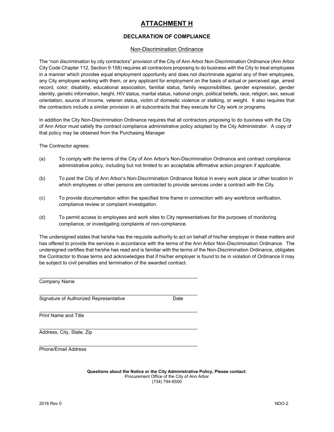### **ATTACHMENT H**

#### **DECLARATION OF COMPLIANCE**

#### Non-Discrimination Ordinance

The "non discrimination by city contractors" provision of the City of Ann Arbor Non-Discrimination Ordinance (Ann Arbor City Code Chapter 112, Section 9:158) requires all contractors proposing to do business with the City to treat employees in a manner which provides equal employment opportunity and does not discriminate against any of their employees, any City employee working with them, or any applicant for employment on the basis of actual or perceived age, arrest record, color, disability, educational association, familial status, family responsibilities, gender expression, gender identity, genetic information, height, HIV status, marital status, national origin, political beliefs, race, religion, sex, sexual orientation, source of income, veteran status, victim of domestic violence or stalking, or weight. It also requires that the contractors include a similar provision in all subcontracts that they execute for City work or programs.

In addition the City Non-Discrimination Ordinance requires that all contractors proposing to do business with the City of Ann Arbor must satisfy the contract compliance administrative policy adopted by the City Administrator. A copy of that policy may be obtained from the Purchasing Manager

The Contractor agrees:

- (a) To comply with the terms of the City of Ann Arbor's Non-Discrimination Ordinance and contract compliance administrative policy, including but not limited to an acceptable affirmative action program if applicable.
- (b) To post the City of Ann Arbor's Non-Discrimination Ordinance Notice in every work place or other location in which employees or other persons are contracted to provide services under a contract with the City.
- (c) To provide documentation within the specified time frame in connection with any workforce verification, compliance review or complaint investigation.
- (d) To permit access to employees and work sites to City representatives for the purposes of monitoring compliance, or investigating complaints of non-compliance.

The undersigned states that he/she has the requisite authority to act on behalf of his/her employer in these matters and has offered to provide the services in accordance with the terms of the Ann Arbor Non-Discrimination Ordinance. The undersigned certifies that he/she has read and is familiar with the terms of the Non-Discrimination Ordinance, obligates the Contractor to those terms and acknowledges that if his/her employer is found to be in violation of Ordinance it may be subject to civil penalties and termination of the awarded contract.

| Company Name                           |      |
|----------------------------------------|------|
| Signature of Authorized Representative | Date |
| Print Name and Title                   |      |
| Address, City, State, Zip              |      |
| <b>Phone/Email Address</b>             |      |

**Questions about the Notice or the City Administrative Policy, Please contact:**  Procurement Office of the City of Ann Arbor (734) 794-6500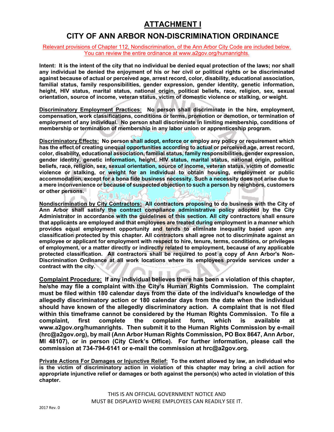## **CITY OF ANN ARBOR NON-DISCRIMINATION ORDINANCE**

Relevant provisions of Chapter 112, Nondiscrimination, of the Ann Arbor City Code are included below. You can review the entire ordinance at www.a2gov.org/humanrights.

**Intent: It is the intent of the city that no individual be denied equal protection of the laws; nor shall any individual be denied the enjoyment of his or her civil or political rights or be discriminated against because of actual or perceived age, arrest record, color, disability, educational association, familial status, family responsibilities, gender expression, gender identity, genetic information, height, HIV status, marital status, national origin, political beliefs, race, religion, sex, sexual orientation, source of income, veteran status, victim of domestic violence or stalking, or weight.** 

**Discriminatory Employment Practices: No person shall discriminate in the hire, employment, compensation, work classifications, conditions or terms, promotion or demotion, or termination of employment of any individual. No person shall discriminate in limiting membership, conditions of membership or termination of membership in any labor union or apprenticeship program.** 

**Discriminatory Effects: No person shall adopt, enforce or employ any policy or requirement which has the effect of creating unequal opportunities according to actual or perceived age, arrest record, color, disability, educational association, familial status, family responsibilities, gender expression, gender identity, genetic information, height, HIV status, marital status, national origin, political beliefs, race, religion, sex, sexual orientation, source of income, veteran status, victim of domestic violence or stalking, or weight for an individual to obtain housing, employment or public accommodation, except for a bona fide business necessity. Such a necessity does not arise due to a mere inconvenience or because of suspected objection to such a person by neighbors, customers or other persons.** 

**Nondiscrimination by City Contractors: All contractors proposing to do business with the City of Ann Arbor shall satisfy the contract compliance administrative policy adopted by the City Administrator in accordance with the guidelines of this section. All city contractors shall ensure that applicants are employed and that employees are treated during employment in a manner which provides equal employment opportunity and tends to eliminate inequality based upon any classification protected by this chapter. All contractors shall agree not to discriminate against an employee or applicant for employment with respect to hire, tenure, terms, conditions, or privileges of employment, or a matter directly or indirectly related to employment, because of any applicable protected classification. All contractors shall be required to post a copy of Ann Arbor's Non-Discrimination Ordinance at all work locations where its employees provide services under a contract with the city.** 

**Complaint Procedure: If any individual believes there has been a violation of this chapter, he/she may file a complaint with the City's Human Rights Commission. The complaint must be filed within 180 calendar days from the date of the individual's knowledge of the allegedly discriminatory action or 180 calendar days from the date when the individual should have known of the allegedly discriminatory action. A complaint that is not filed within this timeframe cannot be considered by the Human Rights Commission. To file a complaint, first complete the complaint form, which is available at www.a2gov.org/humanrights. Then submit it to the Human Rights Commission by e-mail (hrc@a2gov.org), by mail (Ann Arbor Human Rights Commission, PO Box 8647, Ann Arbor, Ml 48107), or in person (City Clerk's Office). For further information, please call the commission at 734-794-6141 or e-mail the commission at hrc@a2gov.org.** 

**Private Actions For Damages or Injunctive Relief: To the extent allowed by law, an individual who is the victim of discriminatory action in violation of this chapter may bring a civil action for appropriate injunctive relief or damages or both against the person(s) who acted in violation of this chapter.**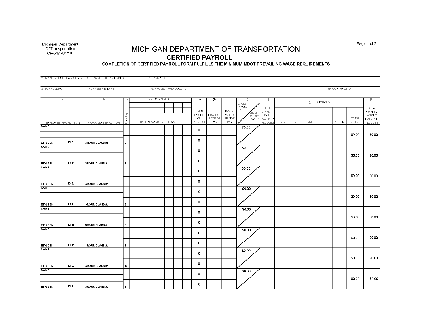Michigan Department<br>Of Transportation<br>CP-347 (04/10)

## MICHIGAN DEPARTMENT OF TRANSPORTATION **CERTIFIED PAYROLL**

COMPLETION OF CERTIFIED PAYROLL FORM FULFILLS THE MINIMUM MDOT PREVAILING WAGE REQUIREMENTS

|                   |                      | (1) NAME OF CONTRACTOR / SUBCONTRACTOR (CIRCLE ONE) |              |  | (2) ADDRESS |                         |                          |                                        |                           |                                            |                                                |                                                       |             |               |                |                 |                        |                                                 |
|-------------------|----------------------|-----------------------------------------------------|--------------|--|-------------|-------------------------|--------------------------|----------------------------------------|---------------------------|--------------------------------------------|------------------------------------------------|-------------------------------------------------------|-------------|---------------|----------------|-----------------|------------------------|-------------------------------------------------|
| (3) PAYROLL NO.   |                      | (4) FOR WEEK ENDING                                 |              |  |             |                         | (5) PROJECT AND LOCATION |                                        |                           |                                            |                                                |                                                       |             |               |                | (6) CONTRACT ID |                        |                                                 |
| (a)               |                      | (b)                                                 | (c)          |  |             | (d) DAY AND DATE        |                          | (e)                                    | (f)                       | (g)                                        | (h)<br>GROSS                                   | (i)                                                   |             |               | (j) DEDUCTIONS |                 |                        | (k)                                             |
|                   | EMPLOYEE INFORMATION | WORK CLASSIFICATION                                 | Type<br>Hour |  |             | HOURS WORKED ON PROJECT |                          | TOTAL<br><b>HOURS</b><br>ON<br>PROJECT | PROJECT<br>RATE OF<br>PAY | PROJECT<br>RATE OF<br>FRINGE<br><b>PAY</b> | PROJECT<br>EARNED<br>GROSS<br>WEEKLY<br>EARNED | TOTAL<br>WEEKLY<br><b>HOURS</b><br>WORKED<br>ALL JOBS | <b>FICA</b> | FEDERAL STATE |                | <b>OTHER</b>    | <b>TOTAL</b><br>DEDUCT | TOTAL<br>WEEKLY<br>WAGES<br>PAIDFOR<br>ALL JOBS |
| NAME:             |                      |                                                     |              |  |             |                         |                          | 0                                      |                           |                                            | \$0.00                                         |                                                       |             |               |                |                 | \$0.00                 | \$0.00                                          |
| ETH/GEN:<br>NAME: | ID#:                 | GROUPICLASS #:                                      | s            |  |             |                         |                          | 0<br>0                                 |                           |                                            | \$0.00                                         |                                                       |             |               |                |                 |                        |                                                 |
| ETH/GEN:          | ID#:                 | GROUP/CLASS #:                                      | s            |  |             |                         |                          | 0                                      |                           |                                            |                                                |                                                       |             |               |                |                 | \$0.00                 | \$0.00                                          |
| NAME:             |                      |                                                     |              |  |             |                         |                          | 0                                      |                           |                                            | \$0.00                                         |                                                       |             |               |                |                 | \$0.00                 | \$0.00                                          |
| ETH/GEN:<br>NAME: | ID#:                 | GROUPICLASS #:                                      | s            |  |             |                         |                          | 0                                      |                           |                                            | \$0.00                                         |                                                       |             |               |                |                 |                        |                                                 |
|                   |                      |                                                     |              |  |             |                         |                          | 0<br>0                                 |                           |                                            |                                                |                                                       |             |               |                |                 | \$0.00                 | \$0.00                                          |
| ETH/GEN:<br>NAME: | ID#:                 | GROUPICLASS #:                                      | s            |  |             |                         |                          | 0                                      |                           |                                            | \$0.00                                         |                                                       |             |               |                |                 |                        |                                                 |
| ETH/GEN:          | ID#:                 | GROUPICLASS #:                                      | s            |  |             |                         |                          | 0                                      |                           |                                            |                                                |                                                       |             |               |                |                 | \$0.00                 | \$0.00                                          |
| NAME:             |                      |                                                     |              |  |             |                         |                          | 0                                      |                           |                                            | \$0.00                                         |                                                       |             |               |                |                 | \$0.00                 | \$0.00                                          |
| ETH/GEN:<br>NAME: | ID#:                 | GROUPICLASS #:                                      | s            |  |             |                         |                          | 0                                      |                           |                                            | \$0.00                                         |                                                       |             |               |                |                 |                        |                                                 |
|                   |                      |                                                     |              |  |             |                         |                          | 0<br>0                                 |                           |                                            |                                                |                                                       |             |               |                |                 | \$0.00                 | \$0.00                                          |
| ETH/GEN:<br>NAME: | ID#:                 | GROUPICLASS #:                                      | s            |  |             |                         |                          | 0                                      |                           |                                            | \$0.00                                         |                                                       |             |               |                |                 |                        |                                                 |
| <b>FTHIGEN:</b>   | ID#:                 | <b>GROUPICLASS #</b>                                | ls.          |  |             |                         |                          | 0                                      |                           |                                            |                                                |                                                       |             |               |                |                 | \$0.00                 | \$0.00                                          |

Page 1 of 2